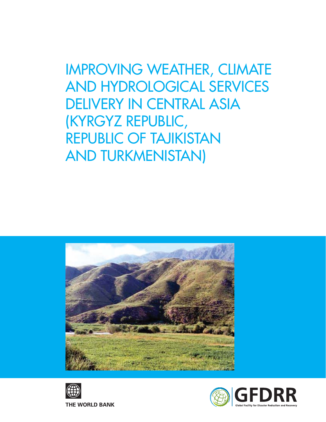IMPROVING WEATHER, CLIMATE AND HYDROLOGICAL SERVICES DELIVERY IN CENTRAL ASIA (KYRGYZ REPUBLIC, REPUBLIC OF TAJIKISTAN AND TURKMENISTAN)





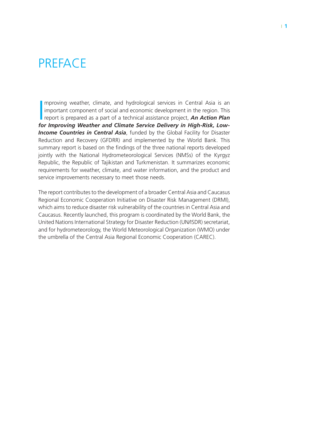### **PREFACE**

Improving weather, climate, and hydrological services in Central Asia is an important component of social and economic development in the region. This report is prepared as a part of a technical assistance project, *An Ac* mproving weather, climate, and hydrological services in Central Asia is an important component of social and economic development in the region. This *for Improving Weather and Climate Service Delivery in High-Risk, Low-***Income Countries in Central Asia**, funded by the Global Facility for Disaster Reduction and Recovery (GFDRR) and implemented by the World Bank. This summary report is based on the findings of the three national reports developed jointly with the National Hydrometeorological Services (NMSs) of the Kyrgyz Republic, the Republic of Tajikistan and Turkmenistan. It summarizes economic requirements for weather, climate, and water information, and the product and service improvements necessary to meet those needs.

The report contributes to the development of a broader Central Asia and Caucasus Regional Economic Cooperation Initiative on Disaster Risk Management (DRMI), which aims to reduce disaster risk vulnerability of the countries in Central Asia and Caucasus. Recently launched, this program is coordinated by the World Bank, the United Nations International Strategy for Disaster Reduction (UN/ISDR) secretariat, and for hydrometeorology, the World Meteorological Organization (WMO) under the umbrella of the Central Asia Regional Economic Cooperation (CAREC).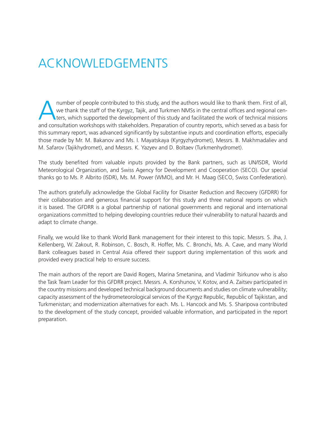# Acknowledgements

number of people contributed to this study, and the authors would like to thank them. First of all, we thank the staff of the Kyrgyz, Tajik, and Turkmen NMSs in the central offices and regional cen**t** ters, which supported the development of this study and facilitated the work of technical missions and consultation workshops with stakeholders. Preparation of country reports, which served as a basis for this summary report, was advanced significantly by substantive inputs and coordination efforts, especially those made by Mr. M. Bakanov and Ms. I. Mayatskaya (Kyrgyzhydromet), Messrs. B. Makhmadaliev and M. Safarov (Tajikhydromet), and Messrs. K. Yazyev and D. Boltaev (Turkmenhydromet).

The study benefited from valuable inputs provided by the Bank partners, such as UN/ISDR, World Meteorological Organization, and Swiss Agency for Development and Cooperation (SECO). Our special thanks go to Ms. P. Albrito (ISDR), Ms. M. Power (WMO), and Mr. H. Maag (SECO, Swiss Confederation).

The authors gratefully acknowledge the Global Facility for Disaster Reduction and Recovery (GFDRR) for their collaboration and generous financial support for this study and three national reports on which it is based. The GFDRR is a global partnership of national governments and regional and international organizations committed to helping developing countries reduce their vulnerability to natural hazards and adapt to climate change.

Finally, we would like to thank World Bank management for their interest to this topic. Messrs. S. Jha, J. Kellenberg, W. Zakout, R. Robinson, C. Bosch, R. Hoffer, Ms. C. Bronchi, Ms. A. Cave, and many World Bank colleagues based in Central Asia offered their support during implementation of this work and provided every practical help to ensure success.

The main authors of the report are David Rogers, Marina Smetanina, and Vladimir Tsirkunov who is also the Task Team Leader for this GFDRR project. Messrs. A. Korshunov, V. Kotov, and A. Zaitsev participated in the country missions and developed technical background documents and studies on climate vulnerability; capacity assessment of the hydrometeorological services of the Kyrgyz Republic, Republic of Tajikistan, and Turkmenistan; and modernization alternatives for each. Ms. L. Hancock and Ms. S. Sharipova contributed to the development of the study concept, provided valuable information, and participated in the report preparation.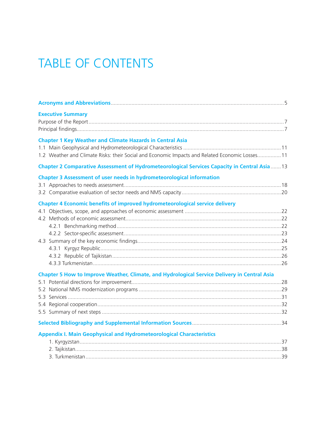# TABLE OF CONTENTS

| <b>Executive Summary</b>                                                                                                                                            |  |
|---------------------------------------------------------------------------------------------------------------------------------------------------------------------|--|
| <b>Chapter 1 Key Weather and Climate Hazards in Central Asia</b><br>1.2 Weather and Climate Risks: their Social and Economic Impacts and Related Economic Losses 11 |  |
| Chapter 2 Comparative Assessment of Hydrometeorological Services Capacity in Central Asia  13                                                                       |  |
| Chapter 3 Assessment of user needs in hydrometeorological information                                                                                               |  |
| Chapter 4 Economic benefits of improved hydrometeorological service delivery                                                                                        |  |
|                                                                                                                                                                     |  |
| Chapter 5 How to Improve Weather, Climate, and Hydrological Service Delivery in Central Asia                                                                        |  |
|                                                                                                                                                                     |  |
|                                                                                                                                                                     |  |
| <b>Appendix I. Main Geophysical and Hydrometeorological Characteristics</b>                                                                                         |  |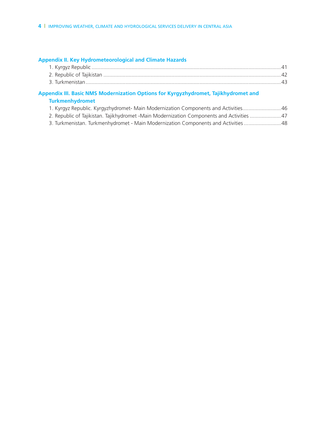### **Appendix II. Key Hydrometeorological and Climate Hazards**

#### **Appendix III. Basic NMS Modernization Options for Kyrgyzhydromet, Tajikhydromet and Turkmenhydromet**

| 1. Kyrgyz Republic. Kyrgyzhydromet- Main Modernization Components and Activities 46        |  |
|--------------------------------------------------------------------------------------------|--|
| 2. Republic of Tajikistan. Tajikhydromet -Main Modernization Components and Activities  47 |  |

3. Turkmenistan. Turkmenhydromet - Main Modernization Components and Activities .........................48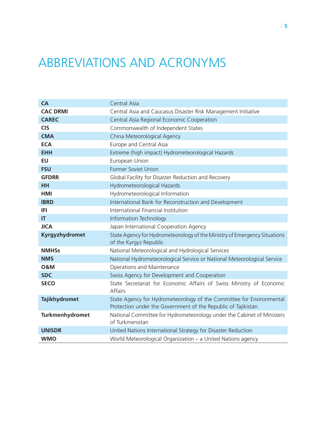# ABBREVIATIONS AND ACRONYMS

| CA                   | Central Asia                                                                                                                          |
|----------------------|---------------------------------------------------------------------------------------------------------------------------------------|
| <b>CAC DRMI</b>      | Central Asia and Caucasus Disaster Risk Management Initiative                                                                         |
| <b>CAREC</b>         | Central Asia Regional Economic Cooperation                                                                                            |
| <b>CIS</b>           | Commonwealth of Independent States                                                                                                    |
| <b>CMA</b>           | China Meteorological Agency                                                                                                           |
| <b>ECA</b>           | Europe and Central Asia                                                                                                               |
| <b>EHH</b>           | Extreme (high impact) Hydrometeorological Hazards                                                                                     |
| <b>EU</b>            | European Union                                                                                                                        |
| <b>FSU</b>           | Former Soviet Union                                                                                                                   |
| <b>GFDRR</b>         | Global Facility for Disaster Reduction and Recovery                                                                                   |
| <b>HH</b>            | Hydrometeorological Hazards                                                                                                           |
| <b>HMI</b>           | Hydrometeorological Information                                                                                                       |
| <b>IBRD</b>          | International Bank for Reconstruction and Development                                                                                 |
| IFI                  | International Financial Institution                                                                                                   |
| $\mathsf{I}$         | Information Technology                                                                                                                |
| <b>JICA</b>          | Japan International Cooperation Agency                                                                                                |
| Kyrgyzhydromet       | State Agency for Hydrometeorology of the Ministry of Emergency Situations                                                             |
|                      | of the Kyrgyz Republic                                                                                                                |
| <b>NMHSs</b>         | National Meteorological and Hydrological Services                                                                                     |
| <b>NMS</b>           | National Hydrometeorological Service or National Meteorological Service                                                               |
| <b>O&amp;M</b>       | Operations and Maintenance                                                                                                            |
| <b>SDC</b>           | Swiss Agency for Development and Cooperation                                                                                          |
| <b>SECO</b>          | State Secretariat for Economic Affairs of Swiss Ministry of Economic<br><b>Affairs</b>                                                |
| <b>Tajikhydromet</b> | State Agency for Hydrometeorology of the Committee for Environmental<br>Protection under the Government of the Republic of Tajikistan |
| Turkmenhydromet      | National Committee for Hydrometeorology under the Cabinet of Ministers<br>of Turkmenistan                                             |
| <b>UNISDR</b>        | United Nations International Strategy for Disaster Reduction                                                                          |
| <b>WMO</b>           | World Meteorological Organization - a United Nations agency                                                                           |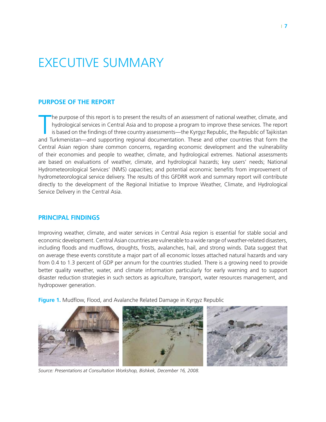# Executive Summary

#### **Purpose of the Report**

T he purpose of this report is to present the results of an assessment of national weather, climate, and hydrological services in Central Asia and to propose a program to improve these services. The report is based on the findings of three country assessments—the Kyrgyz Republic, the Republic of Tajikistan and Turkmenistan—and supporting regional documentation. These and other countries that form the Central Asian region share common concerns, regarding economic development and the vulnerability of their economies and people to weather, climate, and hydrological extremes. National assessments are based on evaluations of weather, climate, and hydrological hazards; key users' needs; National Hydrometeorological Services' (NMS) capacities; and potential economic benefits from improvement of hydrometeorological service delivery. The results of this GFDRR work and summary report will contribute directly to the development of the Regional Initiative to Improve Weather, Climate, and Hydrological Service Delivery in the Central Asia.

#### **Principal findings**

Improving weather, climate, and water services in Central Asia region is essential for stable social and economic development. Central Asian countries are vulnerable to a wide range of weather-related disasters, including floods and mudflows, droughts, frosts, avalanches, hail, and strong winds. Data suggest that on average these events constitute a major part of all economic losses attached natural hazards and vary from 0.4 to 1.3 percent of GDP per annum for the countries studied. There is a growing need to provide better quality weather, water, and climate information particularly for early warning and to support disaster reduction strategies in such sectors as agriculture, transport, water resources management, and hydropower generation.

**Figure 1.** Mudflow, Flood, and Avalanche Related Damage in Kyrgyz Republic



*Source: Presentations at Consultation Workshop, Bishkek, December 16, 2008.*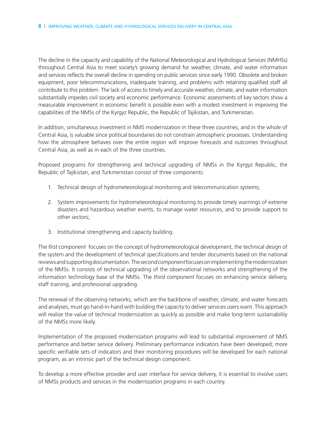The decline in the capacity and capability of the National Meteorological and Hydrological Services (NMHSs) throughout Central Asia to meet society's growing demand for weather, climate, and water information and services reflects the overall decline in spending on public services since early 1990. Obsolete and broken equipment, poor telecommunications, inadequate training, and problems with retaining qualified staff all contribute to this problem. The lack of access to timely and accurate weather, climate, and water information substantially impedes civil society and economic performance. Economic assessments of key sectors show a measurable improvement in economic benefit is possible even with a modest investment in improving the capabilities of the NMSs of the Kyrgyz Republic, the Republic of Tajikistan, and Turkmenistan.

In addition, simultaneous investment in NMS modernization in these three countries, and in the whole of Central Asia, is valuable since political boundaries do not constrain atmospheric processes. Understanding how the atmosphere behaves over the entire region will improve forecasts and outcomes throughout Central Asia, as well as in each of the three countries.

Proposed programs for strengthening and technical upgrading of NMSs in the Kyrgyz Republic, the Republic of Tajikistan, and Turkmenistan consist of three components:

- 1. Technical design of hydrometeorological monitoring and telecommunication systems;
- 2. System improvements for hydrometeorological monitoring to provide timely warnings of extreme disasters and hazardous weather events, to manage water resources, and to provide support to other sectors;
- 3. Institutional strengthening and capacity building.

The *first component* focuses on the concept of hydrometeorological development, the technical design of the system and the development of technical specifications and tender documents based on the national reviews and supporting documentation. The *second component* focuses on implementing the modernization of the NMSs. It consists of technical upgrading of the observational networks and strengthening of the information technology base of the NMSs. The *third component* focuses on enhancing service delivery, staff training, and professional upgrading.

The renewal of the observing networks, which are the backbone of weather, climate, and water forecasts and analyses, must go hand-in-hand with building the capacity to deliver services users want. This approach will realize the value of technical modernization as quickly as possible and make long-term sustainability of the NMSs more likely.

Implementation of the proposed modernization programs will lead to substantial improvement of NMS performance and better service delivery. Preliminary performance indicators have been developed; more specific verifiable sets of indicators and their monitoring procedures will be developed for each national program, as an intrinsic part of the technical design component.

To develop a more effective provider and user interface for service delivery, it is essential to involve users of NMSs products and services in the modernization programs in each country.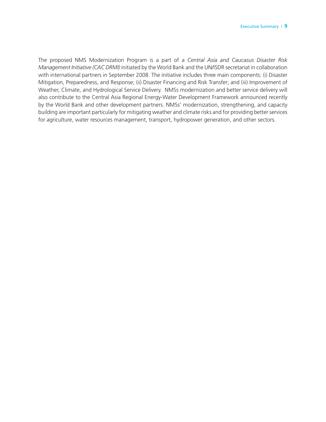The proposed NMS Modernization Program is a part of a *Central Asia and Caucasus Disaster Risk Management Initiative (CAC DRMI)* initiated by the World Bank and the UN/ISDR secretariat in collaboration with international partners in September 2008. The initiative includes three main components: (i) Disaster Mitigation, Preparedness, and Response; (ii) Disaster Financing and Risk Transfer; and (iii) Improvement of Weather, Climate, and Hydrological Service Delivery. NMSs modernization and better service delivery will also contribute to the Central Asia Regional Energy-Water Development Framework announced recently by the World Bank and other development partners. NMSs' modernization, strengthening, and capacity building are important particularly for mitigating weather and climate risks and for providing better services for agriculture, water resources management, transport, hydropower generation, and other sectors.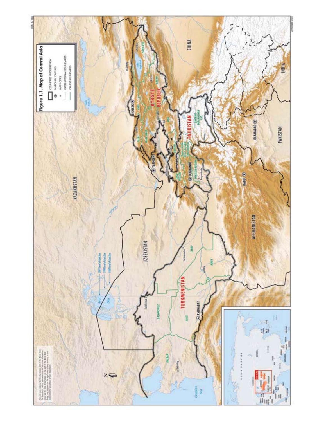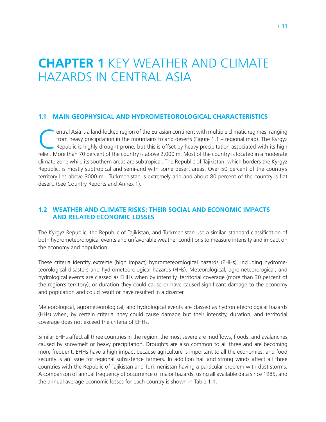# **Chapter 1** Key Weather and Climate Hazards in Central Asia

#### **1.1 Main Geophysical and Hydrometeorological Characteristics**

entral Asia is a land-locked region of the Eurasian continent with multiple climatic regimes, ranging<br>from heavy precipitation in the mountains to arid deserts (Figure 1.1 – regional map). The Kyrgyz<br>Republic is highly dro from heavy precipitation in the mountains to arid deserts (Figure 1.1 – regional map). The Kyrgyz Republic is highly drought prone, but this is offset by heavy precipitation associated with its high relief. More than 70 percent of the country is above 2,000 m. Most of the country is located in a moderate climate zone while its southern areas are subtropical. The Republic of Tajikistan, which borders the Kyrgyz Republic, is mostly subtropical and semi-arid with some desert areas. Over 50 percent of the country's territory lies above 3000 m. Turkmenistan is extremely arid and about 80 percent of the country is flat desert. (See Country Reports and Annex 1).

### **1.2 Weather and Climate Risks: their Social and Economic Impacts and Related Economic Losses**

The Kyrgyz Republic, the Republic of Tajikistan, and Turkmenistan use a similar, standard classification of both hydrometeorological events and unfavorable weather conditions to measure intensity and impact on the economy and population.

These criteria identify extreme (high impact) hydrometeorological hazards (EHHs), including hydrometeorological disasters and hydrometeorological hazards (HHs). Meteorological, agrometeorological, and hydrological events are classed as EHHs when by intensity, territorial coverage (more than 30 percent of the region's territory), or duration they could cause or have caused significant damage to the economy and population and could result or have resulted in a disaster.

Meteorological, agrometeorological, and hydrological events are classed as hydrometeorological hazards (HHs) when, by certain criteria, they could cause damage but their intensity, duration, and territorial coverage does not exceed the criteria of EHHs.

Similar EHHs affect all three countries in the region; the most severe are mudflows, floods, and avalanches caused by snowmelt or heavy precipitation. Droughts are also common to all three and are becoming more frequent. EHHs have a high impact because agriculture is important to all the economies, and food security is an issue for regional subsistence farmers. In addition hail and strong winds affect all three countries with the Republic of Tajikistan and Turkmenistan having a particular problem with dust storms. A comparison of annual frequency of occurrence of major hazards, using all available data since 1985, and the annual average economic losses for each country is shown in Table 1.1.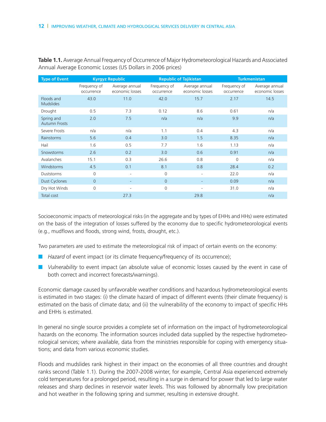| <b>Type of Event</b>               |                            | <b>Kyrgyz Republic</b>            | <b>Republic of Tajikistan</b> |                                   | <b>Turkmenistan</b>        |                                   |
|------------------------------------|----------------------------|-----------------------------------|-------------------------------|-----------------------------------|----------------------------|-----------------------------------|
|                                    | Frequency of<br>occurrence | Average annual<br>economic losses | Frequency of<br>occurrence    | Average annual<br>economic losses | Frequency of<br>occurrence | Average annual<br>economic losses |
| Floods and<br><b>Mudslides</b>     | 43.0                       | 11.0                              | 42.0                          | 15.7                              | 2.17                       | 14.5                              |
| Drought                            | 0.5                        | 7.3                               | 0.12                          | 8.6                               | 0.61                       | n/a                               |
| Spring and<br><b>Autumn Frosts</b> | 2.0                        | 7.5                               | n/a                           | n/a                               | 9.9                        | n/a                               |
| Severe Frosts                      | n/a                        | n/a                               | 1.1                           | 0.4                               | 4.3                        | n/a                               |
| Rainstorms                         | 5.6                        | 0.4                               | 3.0                           | 1.5                               | 8.35                       | n/a                               |
| Hail                               | 1.6                        | 0.5                               | 7.7                           | 1.6                               | 1.13                       | n/a                               |
| Snowstorms                         | 2.6                        | 0.2                               | 3.0                           | 0.6                               | 0.91                       | n/a                               |
| Avalanches                         | 15.1                       | 0.3                               | 26.6                          | 0.8                               | 0                          | n/a                               |
| Windstorms                         | 4.5                        | 0.1                               | 8.1                           | 0.8                               | 28.4                       | 0.2                               |
| <b>Duststorms</b>                  | 0                          |                                   | $\mathbf{0}$                  | $\overline{\phantom{a}}$          | 22.0                       | n/a                               |
| <b>Dust Cyclones</b>               | $\overline{0}$             |                                   | $\overline{0}$                | ٠                                 | 0.09                       | n/a                               |
| Dry Hot Winds                      | $\Omega$                   |                                   | $\Omega$                      | $\overline{\phantom{a}}$          | 31.0                       | n/a                               |
| Total cost                         |                            | 27.3                              |                               | 29.8                              |                            | n/a                               |

**Table 1.1.** Average Annual Frequency of Occurrence of Major Hydrometeorological Hazards and Associated Annual Average Economic Losses (US Dollars in 2006 prices)

Socioeconomic impacts of meteorological risks (in the aggregate and by types of EHHs and HHs) were estimated on the basis of the integration of losses suffered by the economy due to specific hydrometeorological events (e.g., mudflows and floods, strong wind, frosts, drought, etc.).

Two parameters are used to estimate the meteorological risk of impact of certain events on the economy:

- *Hazard* of event impact (or its climate frequency/frequency of its occurrence);
- *Vulnerability* to event impact (an absolute value of economic losses caused by the event in case of both correct and incorrect forecasts/warnings).

Economic damage caused by unfavorable weather conditions and hazardous hydrometeorological events is estimated in two stages: (i) the climate hazard of impact of different events (their climate frequency) is estimated on the basis of climate data; and (ii) the vulnerability of the economy to impact of specific HHs and EHHs is estimated.

In general no single source provides a complete set of information on the impact of hydrometeorological hazards on the economy. The information sources included data supplied by the respective hydrometeorological services; where available, data from the ministries responsible for coping with emergency situations; and data from various economic studies.

Floods and mudslides rank highest in their impact on the economies of all three countries and drought ranks second (Table 1.1). During the 2007-2008 winter, for example, Central Asia experienced extremely cold temperatures for a prolonged period, resulting in a surge in demand for power that led to large water releases and sharp declines in reservoir water levels. This was followed by abnormally low precipitation and hot weather in the following spring and summer, resulting in extensive drought.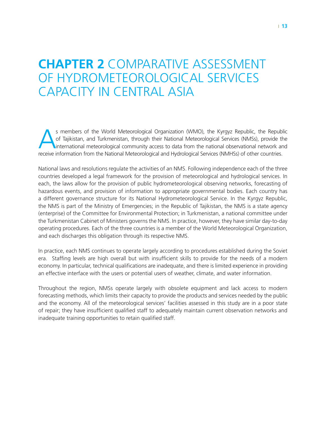## **Chapter 2** Comparative Assessment of Hydrometeorological Services Capacity in Central Asia

s members of the World Meteorological Organization (WMO), the Kyrgyz Republic, the Republic of Tajikistan, and Turkmenistan, through their National Meteorological Services (NMSs), provide the international meteorological c of Tajikistan, and Turkmenistan, through their National Meteorological Services (NMSs), provide the receive information from the National Meteorological and Hydrological Services (NMHSs) of other countries.

National laws and resolutions regulate the activities of an NMS. Following independence each of the three countries developed a legal framework for the provision of meteorological and hydrological services. In each, the laws allow for the provision of public hydrometeorological observing networks, forecasting of hazardous events, and provision of information to appropriate governmental bodies. Each country has a different governance structure for its National Hydrometeorological Service. In the Kyrgyz Republic, the NMS is part of the Ministry of Emergencies; in the Republic of Tajikistan, the NMS is a state agency (enterprise) of the Committee for Environmental Protection; in Turkmenistan, a national committee under the Turkmenistan Cabinet of Ministers governs the NMS. In practice, however, they have similar day-to-day operating procedures. Each of the three countries is a member of the World Meteorological Organization, and each discharges this obligation through its respective NMS.

In practice, each NMS continues to operate largely according to procedures established during the Soviet era. Staffing levels are high overall but with insufficient skills to provide for the needs of a modern economy. In particular, technical qualifications are inadequate, and there is limited experience in providing an effective interface with the users or potential users of weather, climate, and water information.

Throughout the region, NMSs operate largely with obsolete equipment and lack access to modern forecasting methods, which limits their capacity to provide the products and services needed by the public and the economy. All of the meteorological services' facilities assessed in this study are in a poor state of repair; they have insufficient qualified staff to adequately maintain current observation networks and inadequate training opportunities to retain qualified staff.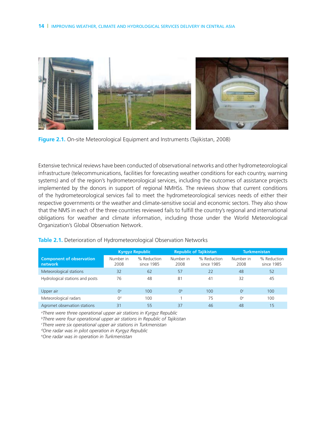

**Figure 2.1.** On-site Meteorological Equipment and Instruments (Tajikistan, 2008)

Extensive technical reviews have been conducted of observational networks and other hydrometeorological infrastructure (telecommunications, facilities for forecasting weather conditions for each country, warning systems) and of the region's hydrometeorological services, including the outcomes of assistance projects implemented by the donors in support of regional NMHSs. The reviews show that current conditions of the hydrometeorological services fail to meet the hydrometeorological services needs of either their respective governments or the weather and climate-sensitive social and economic sectors. They also show that the NMS in each of the three countries reviewed fails to fulfill the country's regional and international obligations for weather and climate information, including those under the World Meteorological Organization's Global Observation Network.

#### **Table 2.1.** Deterioration of Hydrometeorological Observation Networks

|                                            | Kyrgyz Republic   |                           | <b>Republic of Tajikistan</b> |                           | <b>Turkmenistan</b> |                           |
|--------------------------------------------|-------------------|---------------------------|-------------------------------|---------------------------|---------------------|---------------------------|
| <b>Component of observation</b><br>network | Number in<br>2008 | % Reduction<br>since 1985 | Number in<br>2008             | % Reduction<br>since 1985 | Number in<br>2008   | % Reduction<br>since 1985 |
| Meteorological stations                    | 32                | 62                        | 57                            | 22                        | 48                  | 52                        |
| Hydrological stations and posts            | 76                | 48                        | 81                            | 41                        | 32                  | 45                        |
| Upper air                                  | O <sup>a</sup>    | 100                       | 0 <sup>b</sup>                | 100                       | O <sup>c</sup>      | 100                       |
| Meteorological radars                      | 0 <sup>d</sup>    | 100                       |                               | 75                        | O <sup>e</sup>      | 100                       |
| Agromet observation stations               | 31                | 55                        | 37                            | 46                        | 48                  | 15                        |

*a There were three operational upper air stations in Kyrgyz Republic* 

*b There were four operational upper air stations in Republic of Tajikistan*

*c There were six operational upper air stations in Turkmenistan*

*d One radar was in pilot operation in Kyrgyz Republic*

*e One radar was in operation in Turkmenistan*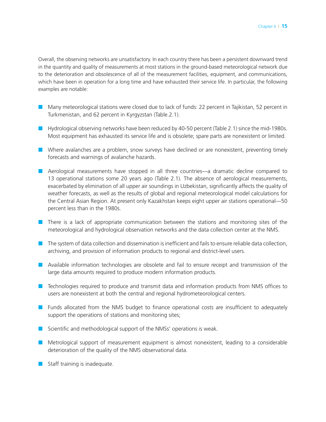Overall, the observing networks are unsatisfactory. In each country there has been a persistent downward trend in the quantity and quality of measurements at most stations in the ground-based meteorological network due to the deterioration and obsolescence of all of the measurement facilities, equipment, and communications, which have been in operation for a long time and have exhausted their service life. In particular, the following examples are notable:

- Many meteorological stations were closed due to lack of funds: 22 percent in Tajikistan, 52 percent in Turkmenistan, and 62 percent in Kyrgyzstan (Table.2.1).
- Hydrological observing networks have been reduced by 40-50 percent (Table 2.1) since the mid-1980s. Most equipment has exhausted its service life and is obsolete; spare parts are nonexistent or limited.
- Where avalanches are a problem, snow surveys have declined or are nonexistent, preventing timely forecasts and warnings of avalanche hazards.
- Aerological measurements have stopped in all three countries—a dramatic decline compared to 13 operational stations some 20 years ago (Table 2.1). The absence of aerological measurements, exacerbated by elimination of all upper air soundings in Uzbekistan, significantly affects the quality of weather forecasts, as well as the results of global and regional meteorological model calculations for the Central Asian Region. At present only Kazakhstan keeps eight upper air stations operational—50 percent less than in the 1980s.
- There is a lack of appropriate communication between the stations and monitoring sites of the meteorological and hydrological observation networks and the data collection center at the NMS.
- The system of data collection and dissemination is inefficient and fails to ensure reliable data collection, archiving, and provision of information products to regional and district-level users.
- Available information technologies are obsolete and fail to ensure receipt and transmission of the large data amounts required to produce modern information products.
- Technologies required to produce and transmit data and information products from NMS offices to users are nonexistent at both the central and regional hydrometeorological centers.
- Funds allocated from the NMS budget to finance operational costs are insufficient to adequately support the operations of stations and monitoring sites;
- Scientific and methodological support of the NMSs' operations is weak.
- Metrological support of measurement equipment is almost nonexistent, leading to a considerable deterioration of the quality of the NMS observational data.
- Staff training is inadequate.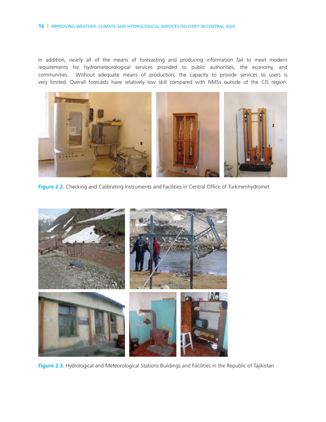#### **16** | IMPROVING WEATHER, CLIMATE AND HYDROLOGICAL SERVICES DELIVERY IN CENTRAL ASIA

In addition, nearly all of the means of forecasting and producing information fail to meet modern requirements for hydrometeorological services provided to public authorities, the economy, and communities. Without adequate means of production, the capacity to provide services to users is very limited. Overall forecasts have relatively low skill compared with NMSs outside of the CIS region.



Figure 2.2. Checking and Calibrating Instruments and Facilities in Central Office of Turkmenhydromet



**Figure 2.3.** Hydrological and Meteorological Stations Buildings and Facilities in the Republic of Tajikistan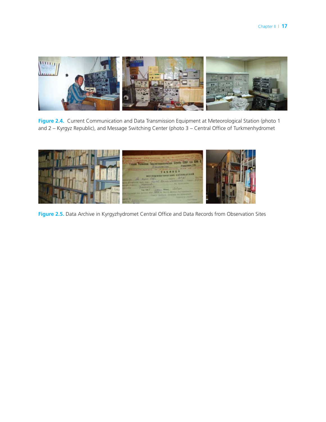

**Figure 2.4.** Current Communication and Data Transmission Equipment at Meteorological Station (photo 1 and 2 – Kyrgyz Republic), and Message Switching Center (photo 3 – Central Office of Turkmenhydromet



**Figure 2.5.** Data Archive in Kyrgyzhydromet Central Office and Data Records from Observation Sites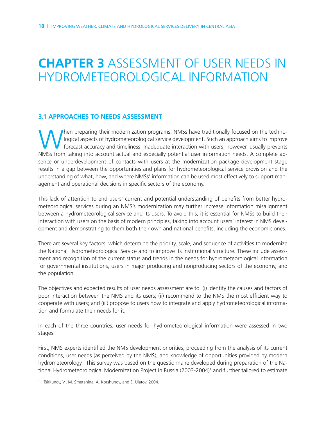# **Chapter 3** Assessment of user needs in hydrometeorological information

#### **3.1 Approaches to needs assessment**

When preparing their modernization programs, NMSs have traditionally focused on the techno-<br>logical aspects of hydrometeorological service development. Such an approach aims to improve<br>forecast accuracy and timeliness. Ina logical aspects of hydrometeorological service development. Such an approach aims to improve forecast accuracy and timeliness. Inadequate interaction with users, however, usually prevents NMSs from taking into account actual and especially potential user information needs. A complete absence or underdevelopment of contacts with users at the modernization package development stage results in a gap between the opportunities and plans for hydrometeorological service provision and the understanding of what, how, and where NMSs' information can be used most effectively to support management and operational decisions in specific sectors of the economy.

This lack of attention to end users' current and potential understanding of benefits from better hydrometeorological services during an NMS's modernization may further increase information misalignment between a hydrometeorological service and its users. To avoid this, it is essential for NMSs to build their interaction with users on the basis of modern principles, taking into account users' interest in NMS development and demonstrating to them both their own and national benefits, including the economic ones.

There are several key factors, which determine the priority, scale, and sequence of activities to modernize the National Hydrometeorological Service and to improve its institutional structure. These include assessment and recognition of the current status and trends in the needs for hydrometeorological information for governmental institutions, users in major producing and nonproducing sectors of the economy, and the population.

The objectives and expected results of user needs assessment are to (i) identify the causes and factors of poor interaction between the NMS and its users; (ii) recommend to the NMS the most efficient way to cooperate with users; and (iii) propose to users how to integrate and apply hydrometeorological information and formulate their needs for it.

In each of the three countries, user needs for hydrometeorological information were assessed in two stages:

First, NMS experts identified the NMS development priorities, proceeding from the analysis of its current conditions, user needs (as perceived by the NMS), and knowledge of opportunities provided by modern hydrometeorology. This survey was based on the questionnaire developed during preparation of the National Hydrometeorological Modernization Project in Russia (2003-2004)<sup>1</sup> and further tailored to estimate

<sup>1</sup> Tsirkunov, V., M. Smetanina, A. Korshunov, and S. Ulatov. 2004.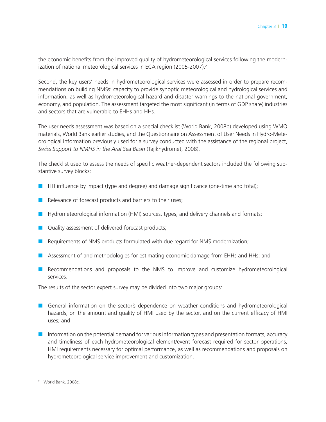the economic benefits from the improved quality of hydrometeorological services following the modernization of national meteorological services in ECA region (2005-2007).<sup>2</sup>

Second, the key users' needs in hydrometeorological services were assessed in order to prepare recommendations on building NMSs' capacity to provide synoptic meteorological and hydrological services and information, as well as hydrometeorological hazard and disaster warnings to the national government, economy, and population. The assessment targeted the most significant (in terms of GDP share) industries and sectors that are vulnerable to EHHs and HHs.

The user needs assessment was based on a special checklist (World Bank, 2008b) developed using WMO materials, World Bank earlier studies, and the Questionnaire on Assessment of User Needs in Hydro-Meteorological Information previously used for a survey conducted with the assistance of the regional project, *Swiss Support to NMHS in the Aral Sea Basin* (Tajikhydromet, 2008).

The checklist used to assess the needs of specific weather-dependent sectors included the following substantive survey blocks:

- HH influence by impact (type and degree) and damage significance (one-time and total);
- Relevance of forecast products and barriers to their uses;
- Hydrometeorological information (HMI) sources, types, and delivery channels and formats;
- Quality assessment of delivered forecast products;
- Requirements of NMS products formulated with due regard for NMS modernization;
- Assessment of and methodologies for estimating economic damage from EHHs and HHs; and
- Recommendations and proposals to the NMS to improve and customize hydrometeorological services.

The results of the sector expert survey may be divided into two major groups:

- General information on the sector's dependence on weather conditions and hydrometeorological hazards, on the amount and quality of HMI used by the sector, and on the current efficacy of HMI uses; and
- Information on the potential demand for various information types and presentation formats, accuracy and timeliness of each hydrometeorological element/event forecast required for sector operations, HMI requirements necessary for optimal performance, as well as recommendations and proposals on hydrometeorological service improvement and customization.

<sup>2</sup> World Bank. 2008c.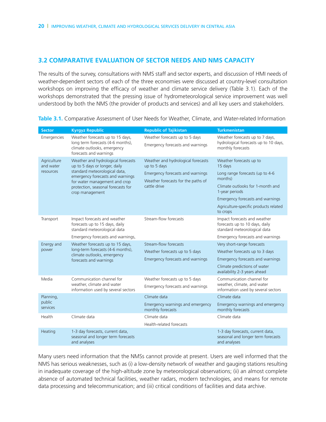### **3.2 Comparative evaluation of sector needs and NMS capacity**

The results of the survey, consultations with NMS staff and sector experts, and discussion of HMI needs of weather-dependent sectors of each of the three economies were discussed at country-level consultation workshops on improving the efficacy of weather and climate service delivery (Table 3.1). Each of the workshops demonstrated that the pressing issue of hydrometeorological service improvement was well understood by both the NMS (the provider of products and services) and all key users and stakeholders.

| <b>Sector</b>                         | <b>Kyrgyz Republic</b>                                                                                                                                                                                                             | <b>Republic of Tajikistan</b>                                                                                                                | <b>Turkmenistan</b>                                                                                                                                                                                                             |
|---------------------------------------|------------------------------------------------------------------------------------------------------------------------------------------------------------------------------------------------------------------------------------|----------------------------------------------------------------------------------------------------------------------------------------------|---------------------------------------------------------------------------------------------------------------------------------------------------------------------------------------------------------------------------------|
| Emergencies                           | Weather forecasts up to 15 days,<br>long term forecasts (4-6 months),<br>climate outlooks, emergency<br>forecasts and warnings                                                                                                     | Weather forecasts up to 5 days<br>Emergency forecasts and warnings                                                                           | Weather forecasts up to 7 days,<br>hydrological forecasts up to 10 days,<br>monthly forecasts                                                                                                                                   |
| Agriculture<br>and water<br>resources | Weather and hydrological forecasts<br>up to 5 days or longer, daily<br>standard meteorological data,<br>emergency forecasts and warnings<br>for water management and crop<br>protection, seasonal forecasts for<br>crop management | Weather and hydrological forecasts<br>up to 5 days<br>Emergency forecasts and warnings<br>Weather forecasts for the paths of<br>cattle drive | Weather forecasts up to<br>15 days<br>Long range forecasts (up to 4-6<br>months)<br>Climate outlooks for 1-month and<br>1-year periods<br>Emergency forecasts and warnings<br>Agriculture-specific products related<br>to crops |
| Transport                             | Impact forecasts and weather<br>forecasts up to 15 days, daily<br>standard meteorological data<br>Emergency forecasts and warnings,                                                                                                | Stream-flow forecasts                                                                                                                        | Impact forecasts and weather<br>forecasts up to 10 days, daily<br>standard meteorological data<br>Emergency forecasts and warnings                                                                                              |
| Energy and<br>power                   | Weather forecasts up to 15 days,<br>long-term forecasts (4-6 months),<br>climate outlooks, emergency<br>forecasts and warnings                                                                                                     | Stream-flow forecasts<br>Weather forecasts up to 5 days<br>Emergency forecasts and warnings                                                  | Very short-range forecasts<br>Weather forecasts up to 3 days<br>Emergency forecasts and warnings<br>Climate predictions of water<br>availability 2-3 years ahead                                                                |
| Media                                 | Communication channel for<br>weather, climate and water<br>information used by several sectors                                                                                                                                     | Weather forecasts up to 5 days<br>Emergency forecasts and warnings                                                                           | Communication channel for<br>weather, climate, and water<br>information used by several sectors                                                                                                                                 |
| Planning,<br>public<br>services       |                                                                                                                                                                                                                                    | Climate data<br>Emergency warnings and emergency<br>monthly forecasts                                                                        | Climate data<br>Emergency warnings and emergency<br>monthly forecasts                                                                                                                                                           |
| Health                                | Climate data                                                                                                                                                                                                                       | Climate data<br>Health-related forecasts                                                                                                     | Climate data                                                                                                                                                                                                                    |
| Heating                               | 1-3 day forecasts, current data,<br>seasonal and longer term forecasts<br>and analyses                                                                                                                                             |                                                                                                                                              | 1-3 day forecasts, current data,<br>seasonal and longer term forecasts<br>and analyses                                                                                                                                          |

**Table 3.1.** Comparative Assessment of User Needs for Weather, Climate, and Water-related Information

Many users need information that the NMSs cannot provide at present. Users are well informed that the NMS has serious weaknesses, such as (i) a low-density network of weather and gauging stations resulting in inadequate coverage of the high-altitude zone by meteorological observations; (ii) an almost complete absence of automated technical facilities, weather radars, modern technologies, and means for remote data processing and telecommunication; and (iii) critical conditions of facilities and data archive.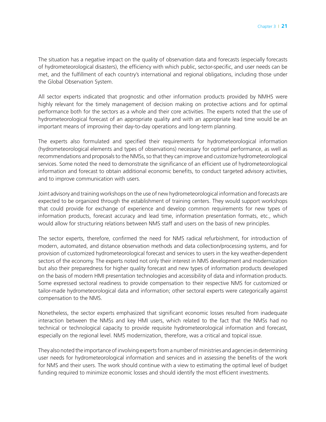The situation has a negative impact on the quality of observation data and forecasts (especially forecasts of hydrometeorological disasters), the efficiency with which public, sector-specific, and user needs can be met, and the fulfillment of each country's international and regional obligations, including those under the Global Observation System.

All sector experts indicated that prognostic and other information products provided by NMHS were highly relevant for the timely management of decision making on protective actions and for optimal performance both for the sectors as a whole and their core activities. The experts noted that the use of hydrometeorological forecast of an appropriate quality and with an appropriate lead time would be an important means of improving their day-to-day operations and long-term planning.

The experts also formulated and specified their requirements for hydrometeorological information (hydrometeorological elements and types of observations) necessary for optimal performance, as well as recommendations and proposals to the NMSs, so that they can improve and customize hydrometeorological services. Some noted the need to demonstrate the significance of an efficient use of hydrometeorological information and forecast to obtain additional economic benefits, to conduct targeted advisory activities, and to improve communication with users.

Joint advisory and training workshops on the use of new hydrometeorological information and forecasts are expected to be organized through the establishment of training centers. They would support workshops that could provide for exchange of experience and develop common requirements for new types of information products, forecast accuracy and lead time, information presentation formats, etc., which would allow for structuring relations between NMS staff and users on the basis of new principles.

The sector experts, therefore, confirmed the need for NMS radical refurbishment, for introduction of modern, automated, and distance observation methods and data collection/processing systems, and for provision of customized hydrometeorological forecast and services to users in the key weather-dependent sectors of the economy. The experts noted not only their interest in NMS development and modernization but also their preparedness for higher quality forecast and new types of information products developed on the basis of modern HMI presentation technologies and accessibility of data and information products. Some expressed sectoral readiness to provide compensation to their respective NMS for customized or tailor-made hydrometeorological data and information; other sectoral experts were categorically against compensation to the NMS.

Nonetheless, the sector experts emphasized that significant economic losses resulted from inadequate interaction between the NMSs and key HMI users, which related to the fact that the NMSs had no technical or technological capacity to provide requisite hydrometeorological information and forecast, especially on the regional level. NMS modernization, therefore, was a critical and topical issue.

They also noted the importance of involving experts from a number of ministries and agencies in determining user needs for hydrometeorological information and services and in assessing the benefits of the work for NMS and their users. The work should continue with a view to estimating the optimal level of budget funding required to minimize economic losses and should identify the most efficient investments.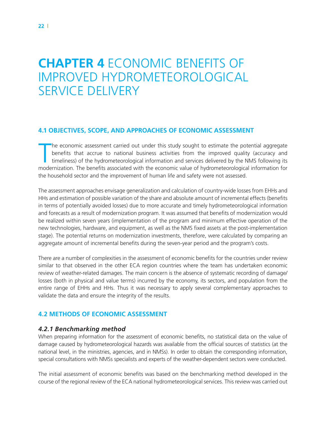# **Chapter 4** Economic benefits of improved hydrometeorological service delivery

### **4.1 Objectives, scope, and approaches of economic assessment**

The economic assessment carried out under this study sought to estimate the potential aggregate<br>benefits that accrue to national business activities from the improved quality (accuracy and<br>timeliness) of the hydrometeorolo he economic assessment carried out under this study sought to estimate the potential aggregate benefits that accrue to national business activities from the improved quality (accuracy and timeliness) of the hydrometeorological information and services delivered by the NMS following its the household sector and the improvement of human life and safety were not assessed.

The assessment approaches envisage generalization and calculation of country-wide losses from EHHs and HHs and estimation of possible variation of the share and absolute amount of incremental effects (benefits in terms of potentially avoided losses) due to more accurate and timely hydrometeorological information and forecasts as a result of modernization program. It was assumed that benefits of modernization would be realized within seven years (implementation of the program and minimum effective operation of the new technologies, hardware, and equipment, as well as the NMS fixed assets at the post-implementation stage). The potential returns on modernization investments, therefore, were calculated by comparing an aggregate amount of incremental benefits during the seven-year period and the program's costs.

There are a number of complexities in the assessment of economic benefits for the countries under review similar to that observed in the other ECA region countries where the team has undertaken economic review of weather-related damages. The main concern is the absence of systematic recording of damage/ losses (both in physical and value terms) incurred by the economy, its sectors, and population from the entire range of EHHs and HHs. Thus it was necessary to apply several complementary approaches to validate the data and ensure the integrity of the results.

### **4.2 Methods of economic assessment**

### *4.2.1 Benchmarking method*

When preparing information for the assessment of economic benefits, no statistical data on the value of damage caused by hydrometeorological hazards was available from the official sources of statistics (at the national level, in the ministries, agencies, and in NMSs). In order to obtain the corresponding information, special consultations with NMSs specialists and experts of the weather-dependent sectors were conducted.

The initial assessment of economic benefits was based on the benchmarking method developed in the course of the regional review of the ECA national hydrometeorological services. This review was carried out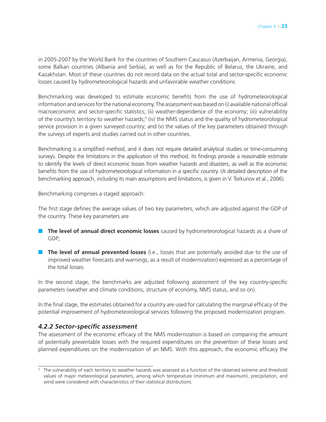in 2005-2007 by the World Bank for the countries of Southern Caucasus (Azerbaijan, Armenia, Georgia), some Balkan countries (Albania and Serbia), as well as for the Republic of Belarus, the Ukraine, and Kazakhstan. Most of these countries do not record data on the actual total and sector-specific economic losses caused by hydrometeorological hazards and unfavorable weather conditions.

Benchmarking was developed to estimate economic benefits from the use of hydrometeorological information and services for the national economy. The assessment was based on (i) available national official macroeconomic and sector-specific statistics; (ii) weather-dependence of the economy; (iii) vulnerability of the country's territory to weather hazards;<sup>3</sup> (iv) the NMS status and the quality of hydrometeorological service provision in a given surveyed country; and (v) the values of the key parameters obtained through the surveys of experts and studies carried out in other countries.

Benchmarking is a simplified method, and it does not require detailed analytical studies or time-consuming surveys. Despite the limitations in the application of this method, its findings provide a reasonable estimate to identify the levels of direct economic losses from weather hazards and disasters, as well as the economic benefits from the use of hydrometeorological information in a specific country. (A detailed description of the benchmarking approach, including its main assumptions and limitations, is given in V. Tsirkunov et al., 2006).

Benchmarking comprises a staged approach:

The first stage defines the average values of two key parameters, which are adjusted against the GDP of the country. These key parameters are

- The level of annual direct economic losses caused by hydrometeorological hazards as a share of GDP;
- **The level of annual prevented losses** (i.e., losses that are potentially avoided due to the use of improved weather forecasts and warnings, as a result of modernization) expressed as a percentage of the total losses.

In the second stage, the benchmarks are adjusted following assessment of the key country-specific parameters (weather and climate conditions, structure of economy, NMS status, and so on).

In the final stage, the estimates obtained for a country are used for calculating the marginal efficacy of the potential improvement of hydrometeorological services following the proposed modernization program.

### *4.2.2 Sector-specific assessment*

The assessment of the economic efficacy of the NMS modernization is based on comparing the amount of potentially preventable losses with the required expenditures on the prevention of these losses and planned expenditures on the modernization of an NMS. With this approach, the economic efficacy the

<sup>&</sup>lt;sup>3</sup> The vulnerability of each territory to weather hazards was assessed as a function of the observed extreme and threshold values of major meteorological parameters, among which temperature (minimum and maximum), precipitation, and wind were considered with characteristics of their statistical distributions.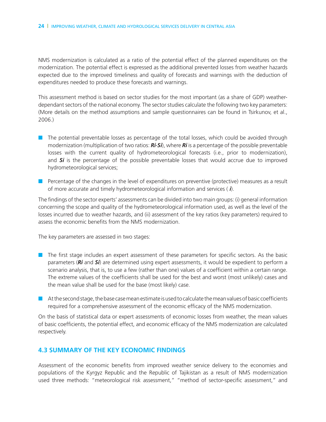NMS modernization is calculated as a ratio of the potential effect of the planned expenditures on the modernization. The potential effect is expressed as the additional prevented losses from weather hazards expected due to the improved timeliness and quality of forecasts and warnings with the deduction of expenditures needed to produce these forecasts and warnings.

This assessment method is based on sector studies for the most important (as a share of GDP) weatherdependant sectors of the national economy. The sector studies calculate the following two key parameters: (More details on the method assumptions and sample questionnaires can be found in Tsirkunov, et al., 2006.)

- The potential preventable losses as percentage of the total losses, which could be avoided through modernization (multiplication of two ratios: *Ri·Si*), where *Ri* is a percentage of the possible preventable losses with the current quality of hydrometeorological forecasts (i.e., prior to modernization), and *Si* is the percentage of the possible preventable losses that would accrue due to improved hydrometeorological services;
- Percentage of the changes in the level of expenditures on preventive (protective) measures as a result of more accurate and timely hydrometeorological information and services (*Δi*).

The findings of the sector experts' assessments can be divided into two main groups: (i) general information concerning the scope and quality of the hydrometeorological information used, as well as the level of the losses incurred due to weather hazards, and (ii) assessment of the key ratios (key parameters) required to assess the economic benefits from the NMS modernization.

The key parameters are assessed in two stages:

- The first stage includes an expert assessment of these parameters for specific sectors. As the basic parameters (*Ri* and *Si*) are determined using expert assessments, it would be expedient to perform a scenario analysis, that is, to use a few (rather than one) values of a coefficient within a certain range. The extreme values of the coefficients shall be used for the best and worst (most unlikely) cases and the mean value shall be used for the base (most likely) case.
- At the second stage, the base case mean estimate is used to calculate the mean values of basic coefficients required for a comprehensive assessment of the economic efficacy of the NMS modernization.

On the basis of statistical data or expert assessments of economic losses from weather, the mean values of basic coefficients, the potential effect, and economic efficacy of the NMS modernization are calculated respectively.

#### **4.3 Summary of the key economic findings**

Assessment of the economic benefits from improved weather service delivery to the economies and populations of the Kyrgyz Republic and the Republic of Tajikistan as a result of NMS modernization used three methods: "meteorological risk assessment," "method of sector-specific assessment," and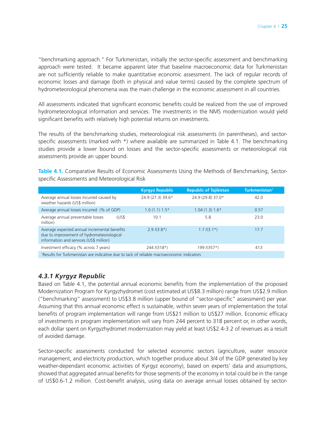"benchmarking approach." For Turkmenistan, initially the sector-specific assessment and benchmarking approach were tested. It became apparent later that baseline macroeconomic data for Turkmenistan are not sufficiently reliable to make quantitative economic assessment. The lack of regular records of economic losses and damage (both in physical and value terms) caused by the complete spectrum of hydrometeorological phenomena was the main challenge in the economic assessment in all countries.

All assessments indicated that significant economic benefits could be realized from the use of improved hydrometeorological information and services. The investments in the NMS modernization would yield significant benefits with relatively high potential returns on investments.

The results of the benchmarking studies, meteorological risk assessments (in parentheses), and sectorspecific assessments (marked with \*) where available are summarized in Table 4.1. The benchmarking studies provide a lower bound on losses and the sector-specific assessments or meteorological risk assessments provide an upper bound.

**Table 4.1.** Comparative Results of Economic Assessments Using the Methods of Benchmarking, Sectorspecific Assessments and Meteorological Risk

|                                                                                                                                      | <b>Kyrgyz Republic</b> | <b>Republic of Tajikistan</b> | Turkmenistan <sup>1</sup> |
|--------------------------------------------------------------------------------------------------------------------------------------|------------------------|-------------------------------|---------------------------|
| Average annual losses incurred caused by<br>weather hazards (US\$ million)                                                           | 24.9 (27.3) 39.6*      | 24.9 (29.8) 37.0*             | 42.0                      |
| Average annual losses incurred (% of GDP)                                                                                            | $1.0(1.1) 1.5*$        | $1.04(1.3)1.6*$               | 0.57                      |
| Average annual preventable losses<br>(US\$<br>million)                                                                               | 10.1                   | 5.8                           | 23.0                      |
| Average expected annual incremental benefits<br>due to improvement of hydrometeorological<br>information and services (US\$ million) | $2.9/(3.8*)$           | $1.7/(3.1*)$                  | 17.7                      |
| Investment efficacy (% across 7 years)                                                                                               | $244/(318*)$           | 199 /(357*)                   | 413                       |
| <sup>1</sup> Results for Turkmenistan are indicative due to lack of reliable macroeconomic indicators                                |                        |                               |                           |

### *4.3.1 Kyrgyz Republic*

Based on Table 4.1, the potential annual economic benefits from the implementation of the proposed Modernization Program for Kyrgyzhydromet (cost estimated at US\$8.3 million) range from US\$2.9 million ("benchmarking" assessment) to US\$3.8 million (upper bound of "sector-specific" assessment) per year. Assuming that this annual economic effect is sustainable, within seven years of implementation the total benefits of program implementation will range from US\$21 million to US\$27 million. Economic efficacy of investments in program implementation will vary from 244 percent to 318 percent or, in other words, each dollar spent on Kyrgyzhydromet modernization may yield at least US\$2.4-3.2 of revenues as a result of avoided damage.

Sector-specific assessments conducted for selected economic sectors (agriculture, water resource management, and electricity production, which together produce about 3/4 of the GDP generated by key weather-dependant economic activities of Kyrgyz economy), based on experts' data and assumptions, showed that aggregated annual benefits for those segments of the economy in total could be in the range of US\$0.6-1.2 million. Cost-benefit analysis, using data on average annual losses obtained by sector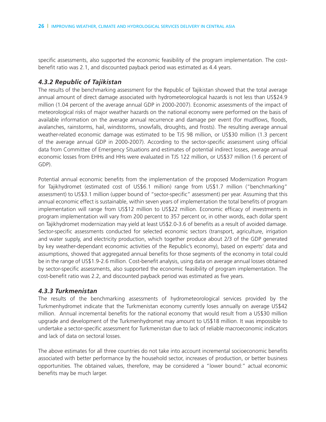specific assessments, also supported the economic feasibility of the program implementation. The costbenefit ratio was 2.1, and discounted payback period was estimated as 4.4 years.

#### *4.3.2 Republic of Tajikistan*

The results of the benchmarking assessment for the Republic of Tajikistan showed that the total average annual amount of direct damage associated with hydrometeorological hazards is not less than US\$24.9 million (1.04 percent of the average annual GDP in 2000-2007). Economic assessments of the impact of meteorological risks of major weather hazards on the national economy were performed on the basis of available information on the average annual recurrence and damage per event (for mudflows, floods, avalanches, rainstorms, hail, windstorms, snowfalls, droughts, and frosts). The resulting average annual weather-related economic damage was estimated to be TJS 98 million, or US\$30 million (1.3 percent of the average annual GDP in 2000-2007). According to the sector-specific assessment using official data from Committee of Emergency Situations and estimates of potential indirect losses, average annual economic losses from EHHs and HHs were evaluated in TJS 122 million, or US\$37 million (1.6 percent of GDP).

Potential annual economic benefits from the implementation of the proposed Modernization Program for Tajikhydromet (estimated cost of US\$6.1 million) range from US\$1.7 million ("benchmarking" assessment) to US\$3.1 million (upper bound of "sector-specific" assessment) per year. Assuming that this annual economic effect is sustainable, within seven years of implementation the total benefits of program implementation will range from US\$12 million to US\$22 million. Economic efficacy of investments in program implementation will vary from 200 percent to 357 percent or, in other words, each dollar spent on Tajikhydromet modernization may yield at least US\$2.0-3.6 of benefits as a result of avoided damage. Sector-specific assessments conducted for selected economic sectors (transport, agriculture, irrigation and water supply, and electricity production, which together produce about 2/3 of the GDP generated by key weather-dependant economic activities of the Republic's economy), based on experts' data and assumptions, showed that aggregated annual benefits for those segments of the economy in total could be in the range of US\$1.9-2.6 million. Cost-benefit analysis, using data on average annual losses obtained by sector-specific assessments, also supported the economic feasibility of program implementation. The cost-benefit ratio was 2.2, and discounted payback period was estimated as five years.

#### *4.3.3 Turkmenistan*

The results of the benchmarking assessments of hydrometeorological services provided by the Turkmenhydromet indicate that the Turkmenistan economy currently loses annually on average US\$42 million. Annual incremental benefits for the national economy that would result from a US\$30 million upgrade and development of the Turkmenhydromet may amount to US\$18 million. It was impossible to undertake a sector-specific assessment for Turkmenistan due to lack of reliable macroeconomic indicators and lack of data on sectoral losses.

The above estimates for all three countries do not take into account incremental socioeconomic benefits associated with better performance by the household sector, increases of production, or better business opportunities. The obtained values, therefore, may be considered a "lower bound:" actual economic benefits may be much larger.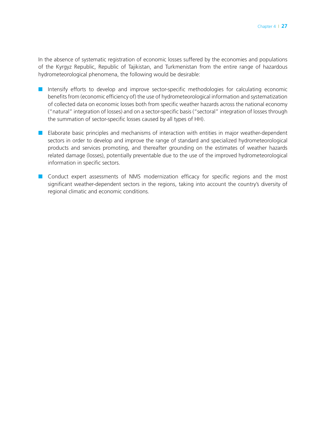In the absence of systematic registration of economic losses suffered by the economies and populations of the Kyrgyz Republic, Republic of Tajikistan, and Turkmenistan from the entire range of hazardous hydrometeorological phenomena, the following would be desirable:

- Intensify efforts to develop and improve sector-specific methodologies for calculating economic benefits from (economic efficiency of) the use of hydrometeorological information and systematization of collected data on economic losses both from specific weather hazards across the national economy ("natural" integration of losses) and on a sector-specific basis ("sectoral" integration of losses through the summation of sector-specific losses caused by all types of HH).
- Elaborate basic principles and mechanisms of interaction with entities in major weather-dependent sectors in order to develop and improve the range of standard and specialized hydrometeorological products and services promoting, and thereafter grounding on the estimates of weather hazards related damage (losses), potentially preventable due to the use of the improved hydrometeorological information in specific sectors.
- Conduct expert assessments of NMS modernization efficacy for specific regions and the most significant weather-dependent sectors in the regions, taking into account the country's diversity of regional climatic and economic conditions.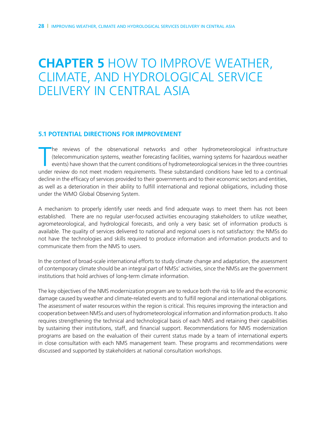## **Chapter 5** How to Improve Weather, Climate, and Hydrological Service DELIVERY IN CENTRAL ASIA

#### **5.1 Potential Directions for improvement**

The reviews of the observational networks and other hydrometeorological infrastructure (telecommunication systems, weather forecasting facilities, warning systems for hazardous weather events) have shown that the current c he reviews of the observational networks and other hydrometeorological infrastructure (telecommunication systems, weather forecasting facilities, warning systems for hazardous weather events) have shown that the current conditions of hydrometeorological services in the three countries decline in the efficacy of services provided to their governments and to their economic sectors and entities, as well as a deterioration in their ability to fulfill international and regional obligations, including those under the WMO Global Observing System.

A mechanism to properly identify user needs and find adequate ways to meet them has not been established. There are no regular user-focused activities encouraging stakeholders to utilize weather, agrometeorological, and hydrological forecasts, and only a very basic set of information products is available. The quality of services delivered to national and regional users is not satisfactory: the NMSs do not have the technologies and skills required to produce information and information products and to communicate them from the NMS to users.

In the context of broad-scale international efforts to study climate change and adaptation, the assessment of contemporary climate should be an integral part of NMSs' activities, since the NMSs are the government institutions that hold archives of long-term climate information.

The key objectives of the NMS modernization program are to reduce both the risk to life and the economic damage caused by weather and climate-related events and to fulfill regional and international obligations. The assessment of water resources within the region is critical. This requires improving the interaction and cooperation between NMSs and users of hydrometeorological information and information products. It also requires strengthening the technical and technological basis of each NMS and retaining their capabilities by sustaining their institutions, staff, and financial support. Recommendations for NMS modernization programs are based on the evaluation of their current status made by a team of international experts in close consultation with each NMS management team. These programs and recommendations were discussed and supported by stakeholders at national consultation workshops.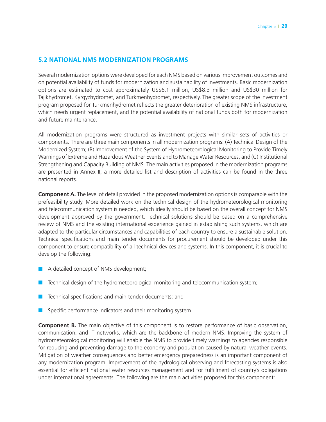#### **5.2 National NMS modernization programs**

Several modernization options were developed for each NMS based on various improvement outcomes and on potential availability of funds for modernization and sustainability of investments. Basic modernization options are estimated to cost approximately US\$6.1 million, US\$8.3 million and US\$30 million for Tajikhydromet, Kyrgyzhydromet, and Turkmenhydromet, respectively. The greater scope of the investment program proposed for Turkmenhydromet reflects the greater deterioration of existing NMS infrastructure, which needs urgent replacement, and the potential availability of national funds both for modernization and future maintenance.

All modernization programs were structured as investment projects with similar sets of activities or components. There are three main components in all modernization programs: (A) Technical Design of the Modernized System; (B) Improvement of the System of Hydrometeorological Monitoring to Provide Timely Warnings of Extreme and Hazardous Weather Events and to Manage Water Resources, and (C) Institutional Strengthening and Capacity Building of NMS. The main activities proposed in the modernization programs are presented in Annex II; a more detailed list and description of activities can be found in the three national reports.

**Component A.** The level of detail provided in the proposed modernization options is comparable with the prefeasibility study. More detailed work on the technical design of the hydrometeorological monitoring and telecommunication system is needed, which ideally should be based on the overall concept for NMS development approved by the government. Technical solutions should be based on a comprehensive review of NMS and the existing international experience gained in establishing such systems, which are adapted to the particular circumstances and capabilities of each country to ensure a sustainable solution. Technical specifications and main tender documents for procurement should be developed under this component to ensure compatibility of all technical devices and systems. In this component, it is crucial to develop the following:

- A detailed concept of NMS development;
- Technical design of the hydrometeorological monitoring and telecommunication system;
- Technical specifications and main tender documents; and
- Specific performance indicators and their monitoring system.

**Component B.** The main objective of this component is to restore performance of basic observation, communication, and IT networks, which are the backbone of modern NMS. Improving the system of hydrometeorological monitoring will enable the NMS to provide timely warnings to agencies responsible for reducing and preventing damage to the economy and population caused by natural weather events. Mitigation of weather consequences and better emergency preparedness is an important component of any modernization program. Improvement of the hydrological observing and forecasting systems is also essential for efficient national water resources management and for fulfillment of country's obligations under international agreements. The following are the main activities proposed for this component: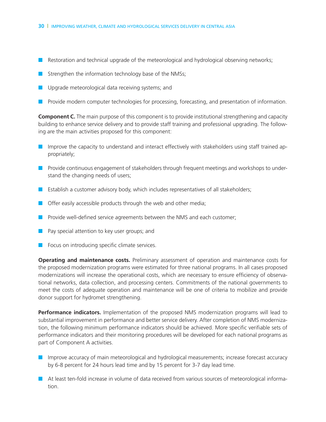- Restoration and technical upgrade of the meteorological and hydrological observing networks;
- Strengthen the information technology base of the NMSs;
- Upgrade meteorological data receiving systems; and
- Provide modern computer technologies for processing, forecasting, and presentation of information.

**Component C.** The main purpose of this component is to provide institutional strengthening and capacity building to enhance service delivery and to provide staff training and professional upgrading. The following are the main activities proposed for this component:

- Improve the capacity to understand and interact effectively with stakeholders using staff trained appropriately;
- Provide continuous engagement of stakeholders through frequent meetings and workshops to understand the changing needs of users;
- Establish a customer advisory body, which includes representatives of all stakeholders;
- Offer easily accessible products through the web and other media;
- Provide well-defined service agreements between the NMS and each customer;
- Pay special attention to key user groups; and
- Focus on introducing specific climate services.

**Operating and maintenance costs.** Preliminary assessment of operation and maintenance costs for the proposed modernization programs were estimated for three national programs. In all cases proposed modernizations will increase the operational costs, which are necessary to ensure efficiency of observational networks, data collection, and processing centers. Commitments of the national governments to meet the costs of adequate operation and maintenance will be one of criteria to mobilize and provide donor support for hydromet strengthening.

**Performance indicators.** Implementation of the proposed NMS modernization programs will lead to substantial improvement in performance and better service delivery. After completion of NMS modernization, the following minimum performance indicators should be achieved. More specific verifiable sets of performance indicators and their monitoring procedures will be developed for each national programs as part of Component A activities.

- Improve accuracy of main meteorological and hydrological measurements; increase forecast accuracy by 6-8 percent for 24 hours lead time and by 15 percent for 3-7 day lead time.
- At least ten-fold increase in volume of data received from various sources of meteorological information.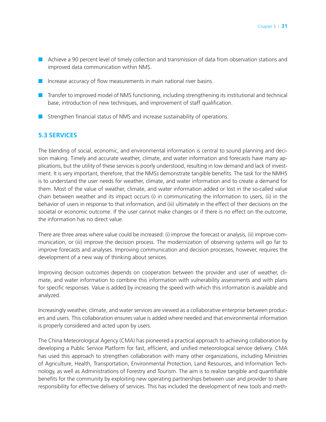- Achieve a 90 percent level of timely collection and transmission of data from observation stations and improved data communication within NMS.
- Increase accuracy of flow measurements in main national river basins.
- Transfer to improved model of NMS functioning, including strengthening its institutional and technical base, introduction of new techniques, and improvement of staff qualification.
- Strengthen financial status of NMS and increase sustainability of operations.

### **5.3 Services**

The blending of social, economic, and environmental information is central to sound planning and decision making. Timely and accurate weather, climate, and water information and forecasts have many applications, but the utility of these services is poorly understood, resulting in low demand and lack of investment. It is very important, therefore, that the NMSs demonstrate tangible benefits. The task for the NMHS is to understand the user needs for weather, climate, and water information and to create a demand for them. Most of the value of weather, climate, and water information added or lost in the so-called value chain between weather and its impact occurs (i) in communicating the information to users, (ii) in the behavior of users in response to that information, and (iii) ultimately in the effect of their decisions on the societal or economic outcome. If the user cannot make changes or if there is no effect on the outcome, the information has no direct value.

There are three areas where value could be increased: (i) improve the forecast or analysis, (ii) improve communication, or (iii) improve the decision process. The modernization of observing systems will go far to improve forecasts and analyses. Improving communication and decision processes, however, requires the development of a new way of thinking about services.

Improving decision outcomes depends on cooperation between the provider and user of weather, climate, and water information to combine this information with vulnerability assessments and with plans for specific responses. Value is added by increasing the speed with which this information is available and analyzed.

Increasingly weather, climate, and water services are viewed as a collaborative enterprise between producers and users. This collaboration ensures value is added where needed and that environmental information is properly considered and acted upon by users.

The China Meteorological Agency (CMA) has pioneered a practical approach to achieving collaboration by developing a Public Service Platform for fast, efficient, and unified meteorological service delivery. CMA has used this approach to strengthen collaboration with many other organizations, including Ministries of Agriculture, Health, Transportation, Environmental Protection, Land Resources, and Information Technology, as well as Administrations of Forestry and Tourism. The aim is to realize tangible and quantifiable benefits for the community by exploiting new operating partnerships between user and provider to share responsibility for effective delivery of services. This has included the development of new tools and meth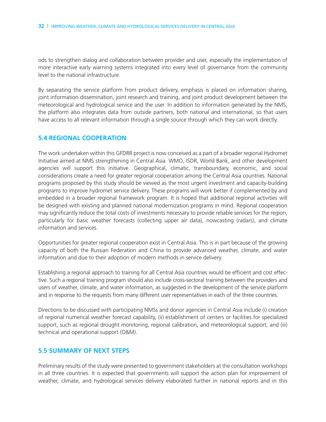ods to strengthen dialog and collaboration between provider and user, especially the implementation of more interactive early warning systems integrated into every level of governance from the community level to the national infrastructure.

By separating the service platform from product delivery, emphasis is placed on information sharing, joint information dissemination, joint research and training, and joint product development between the meteorological and hydrological service and the user. In addition to information generated by the NMS, the platform also integrates data from outside partners, both national and international, so that users have access to all relevant information through a single source through which they can work directly.

#### **5.4 Regional cooperation**

The work undertaken within this GFDRR project is now conceived as a part of a broader regional Hydromet Initiative aimed at NMS strengthening in Central Asia. WMO, ISDR, World Bank, and other development agencies will support this initiative. Geographical, climatic, transboundary, economic, and social considerations create a need for greater regional cooperation among the Central Asia countries. National programs proposed by this study should be viewed as the most urgent investment and capacity-building programs to improve hydromet service delivery. These programs will work better if complemented by and embedded in a broader regional framework program. It is hoped that additional regional activities will be designed with existing and planned national modernization programs in mind. Regional cooperation may significantly reduce the total costs of investments necessary to provide reliable services for the region, particularly for basic weather forecasts (collecting upper air data), nowcasting (radars), and climate information and services.

Opportunities for greater regional cooperation exist in Central Asia. This is in part because of the growing capacity of both the Russian Federation and China to provide advanced weather, climate, and water information and due to their adoption of modern methods in service delivery.

Establishing a regional approach to training for all Central Asia countries would be efficient and cost effective. Such a regional training program should also include cross-sectoral training between the providers and users of weather, climate, and water information, as suggested in the development of the service platform and in response to the requests from many different user representatives in each of the three countries.

Directions to be discussed with participating NMSs and donor agencies in Central Asia include (i) creation of regional numerical weather forecast capability, (ii) establishment of centers or facilities for specialized support, such as regional drought monitoring, regional calibration, and meteorological support, and (iii) technical and operational support (O&M).

#### **5.5 Summary of next steps**

Preliminary results of the study were presented to government stakeholders at the consultation workshops in all three countries. It is expected that governments will support the action plan for improvement of weather, climate, and hydrological services delivery elaborated further in national reports and in this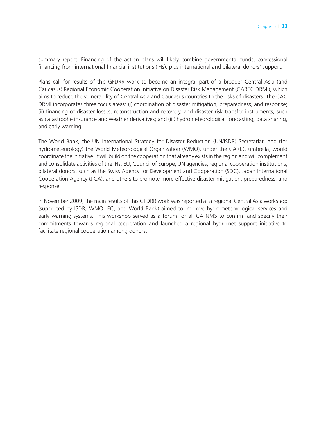summary report. Financing of the action plans will likely combine governmental funds, concessional financing from international financial institutions (IFIs), plus international and bilateral donors' support.

Plans call for results of this GFDRR work to become an integral part of a broader Central Asia (and Caucasus) Regional Economic Cooperation Initiative on Disaster Risk Management (CAREC DRMI), which aims to reduce the vulnerability of Central Asia and Caucasus countries to the risks of disasters. The CAC DRMI incorporates three focus areas: (i) coordination of disaster mitigation, preparedness, and response; (ii) financing of disaster losses, reconstruction and recovery, and disaster risk transfer instruments, such as catastrophe insurance and weather derivatives; and (iii) hydrometeorological forecasting, data sharing, and early warning.

The World Bank, the UN International Strategy for Disaster Reduction (UN/ISDR) Secretariat, and (for hydrometeorology) the World Meteorological Organization (WMO), under the CAREC umbrella, would coordinate the initiative. It will build on the cooperation that already exists in the region and will complement and consolidate activities of the IFIs, EU, Council of Europe, UN agencies, regional cooperation institutions, bilateral donors, such as the Swiss Agency for Development and Cooperation (SDC), Japan International Cooperation Agency (JICA), and others to promote more effective disaster mitigation, preparedness, and response.

In November 2009, the main results of this GFDRR work was reported at a regional Central Asia workshop (supported by ISDR, WMO, EC, and World Bank) aimed to improve hydrometeorological services and early warning systems. This workshop served as a forum for all CA NMS to confirm and specify their commitments towards regional cooperation and launched a regional hydromet support initiative to facilitate regional cooperation among donors.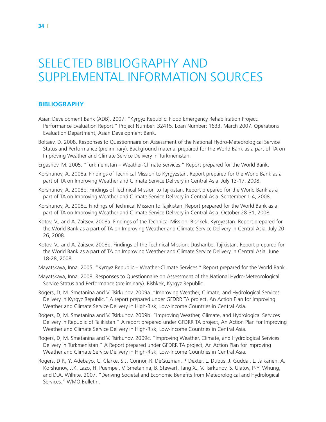# Selected Bibliography and Supplemental Information Sources

#### **BIBLIOGRAPHY**

- Asian Development Bank (ADB). 2007. "Kyrgyz Republic: Flood Emergency Rehabilitation Project. Performance Evaluation Report." Project Number: 32415. Loan Number: 1633. March 2007. Operations Evaluation Department, Asian Development Bank.
- Boltaev, D. 2008. Responses to Questionnaire on Assessment of the National Hydro-Meteorological Service Status and Performance (preliminary). Background material prepared for the World Bank as a part of TA on Improving Weather and Climate Service Delivery in Turkmenistan.
- Ergashov, M. 2005. "Turkmenistan Weather-Climate Services." Report prepared for the World Bank.
- Korshunov, A. 2008a. Findings of Technical Mission to Kyrgyzstan. Report prepared for the World Bank as a part of TA on Improving Weather and Climate Service Delivery in Central Asia. July 13-17, 2008.
- Korshunov, A. 2008b. Findings of Technical Mission to Tajikistan. Report prepared for the World Bank as a part of TA on Improving Weather and Climate Service Delivery in Central Asia. September 1-4, 2008.
- Korshunov, A. 2008c. Findings of Technical Mission to Tajikistan. Report prepared for the World Bank as a part of TA on Improving Weather and Climate Service Delivery in Central Asia. October 28-31, 2008.
- Kotov, V., and A. Zaitsev. 2008a. Findings of the Technical Mission: Bishkek, Kyrgyzstan. Report prepared for the World Bank as a part of TA on Improving Weather and Climate Service Delivery in Central Asia. July 20- 26, 2008.
- Kotov, V., and A. Zaitsev. 2008b. Findings of the Technical Mission: Dushanbe, Tajikistan. Report prepared for the World Bank as a part of TA on Improving Weather and Climate Service Delivery in Central Asia. June 18-28, 2008.
- Mayatskaya, Inna. 2005. "Kyrgyz Republic Weather-Climate Services." Report prepared for the World Bank.
- Mayatskaya, Inna. 2008. Responses to Questionnaire on Assessment of the National Hydro-Meteorological Service Status and Performance (preliminary). Bishkek, Kyrgyz Republic.
- Rogers, D, M. Smetanina and V. Tsirkunov. 2009a. "Improving Weather, Climate, and Hydrological Services Delivery in Kyrgyz Republic." A report prepared under GFDRR TA project, An Action Plan for Improving Weather and Climate Service Delivery in High-Risk, Low-Income Countries in Central Asia.
- Rogers, D, M. Smetanina and V. Tsirkunov. 2009b. "Improving Weather, Climate, and Hydrological Services Delivery in Republic of Tajikistan." A report prepared under GFDRR TA project, An Action Plan for Improving Weather and Climate Service Delivery in High-Risk, Low-Income Countries in Central Asia.
- Rogers, D, M. Smetanina and V. Tsirkunov. 2009c. "Improving Weather, Climate, and Hydrological Services Delivery in Turkmenistan." A Report prepared under GFDRR TA project, An Action Plan for Improving Weather and Climate Service Delivery in High-Risk, Low-Income Countries in Central Asia.
- Rogers, D.P., Y. Adebayo, C. Clarke, S.J. Connor, R. DeGuzman, P. Dexter, L. Dubus, J. Guddal, L. Jalkanen, A. Korshunov, J.K. Lazo, H. Puempel, V. Smetanina, B. Stewart, Tang X., V. Tsirkunov, S. Ulatov, P-Y. Whung, and D.A. Wilhite. 2007. "Deriving Societal and Economic Benefits from Meteorological and Hydrological Services." WMO Bulletin.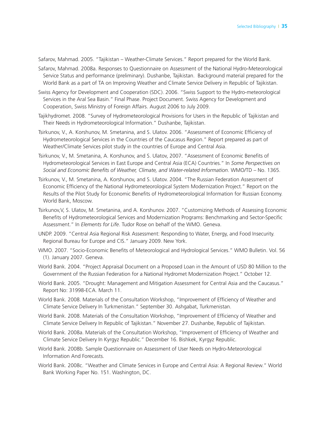Safarov, Mahmad. 2005. "Tajikistan – Weather-Climate Services." Report prepared for the World Bank.

- Safarov, Mahmad. 2008a. Responses to Questionnaire on Assessment of the National Hydro-Meteorological Service Status and performance (preliminary). Dushanbe, Tajikistan. Background material prepared for the World Bank as a part of TA on Improving Weather and Climate Service Delivery in Republic of Tajikistan.
- Swiss Agency for Development and Cooperation (SDC). 2006. "Swiss Support to the Hydro-meteorological Services in the Aral Sea Basin." Final Phase. Project Document. Swiss Agency for Development and Cooperation, Swiss Ministry of Foreign Affairs. August 2006 to July 2009.
- Tajikhydromet. 2008. "Survey of Hydrometeorological Provisions for Users in the Republic of Tajikistan and Their Needs in Hydrometeorological Information." Dushanbe, Tajikistan.
- Tsirkunov, V., A. Korshunov, M. Smetanina, and S. Ulatov. 2006. "Assessment of Economic Efficiency of Hydrometeorological Services in the Countries of the Caucasus Region." Report prepared as part of Weather/Climate Services pilot study in the countries of Europe and Central Asia.
- Tsirkunov, V., M. Smetanina, A. Korshunov, and S. Ulatov, 2007. "Assessment of Economic Benefits of Hydrometeorological Services in East Europe and Central Asia (ECA) Countries." In *Some Perspectives on Social and Economic Benefits of Weather, Climate, and Water-related Information*. WMO/TD – No. 1365.
- Tsirkunov, V., M. Smetanina, A. Korshunov, and S. Ulatov. 2004. "The Russian Federation Assessment of Economic Efficiency of the National Hydrometeorological System Modernization Project." Report on the Results of the Pilot Study for Economic Benefits of Hydrometeorological Information for Russian Economy. World Bank, Moscow.
- Tsirkunov,V, S. Ulatov, M. Smetanina, and A. Korshunov. 2007. "Customizing Methods of Assessing Economic Benefits of Hydrometeorological Services and Modernization Programs: Benchmarking and Sector-Specific Assessment." In *Elements for Life*. Tudor Rose on behalf of the WMO. Geneva.
- UNDP. 2009. "Central Asia Regional Risk Assessment: Responding to Water, Energy, and Food Insecurity. Regional Bureau for Europe and CIS." January 2009. New York.
- WMO. 2007. "Socio-Economic Benefits of Meteorological and Hydrological Services." WMO Bulletin. Vol. 56 (1). January 2007. Geneva.
- World Bank. 2004. "Project Appraisal Document on a Proposed Loan in the Amount of USD 80 Million to the Government of the Russian Federation for a National Hydromet Modernization Project." October 12.
- World Bank. 2005. "Drought: Management and Mitigation Assessment for Central Asia and the Caucasus." Report No: 31998-ECA. March 11.
- World Bank. 2008. Materials of the Consultation Workshop, "Improvement of Efficiency of Weather and Climate Service Delivery In Turkmenistan." September 30. Ashgabat, Turkmenistan.
- World Bank. 2008. Materials of the Consultation Workshop, "Improvement of Efficiency of Weather and Climate Service Delivery In Republic of Tajikistan." November 27. Dushanbe, Republic of Tajikistan.
- World Bank. 2008a. Materials of the Consultation Workshop, "Improvement of Efficiency of Weather and Climate Service Delivery In Kyrgyz Republic." December 16. Bishkek, Kyrgyz Republic.
- World Bank. 2008b. Sample Questionnaire on Assessment of User Needs on Hydro-Meteorological Information And Forecasts.
- World Bank. 2008c. "Weather and Climate Services in Europe and Central Asia: A Regional Review." World Bank Working Paper No. 151. Washington, DC.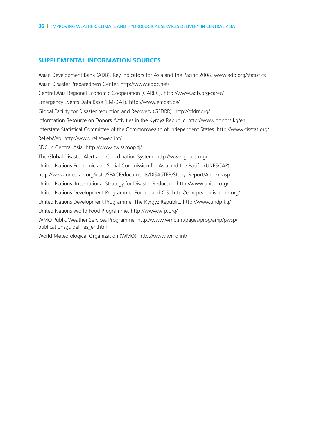### **SUPPLEMENTAL INFORMATION SOURCES**

Asian Development Bank (ADB). Key Indicators for Asia and the Pacific 2008. www.adb.org/statistics Asian Disaster Preparedness Center. http://www.adpc.net/ Central Asia Regional Economic Cooperation (CAREC). http://www.adb.org/carec/ Emergency Events Data Base (EM-DAT). http://www.emdat.be/ Global Facility for Disaster reduction and Recovery (GFDRR). http://gfdrr.org/ Information Resource on Donors Activities in the Kyrgyz Republic. http://www.donors.kg/en Interstate Statistical Committee of the Commonwealth of Independent States. http://www.cisstat.org/ ReliefWeb. http://www.reliefweb.int/ SDC in Central Asia. http://www.swisscoop.tj/ The Global Disaster Alert and Coordination System. http://www.gdacs.org/ United Nations Economic and Social Commission for Asia and the Pacific (UNESCAP) http://www.unescap.org/icstd/SPACE/documents/DISASTER/Study\_Report/AnnexI.asp United Nations. International Strategy for Disaster Reduction.http://www.unisdr.org/ United Nations Development Programme. Europe and CIS. http://europeandcis.undp.org/ United Nations Development Programme. The Kyrgyz Republic. http://www.undp.kg/ United Nations World Food Programme. http://www.wfp.org/ WMO Public Weather Services Programme. http://www.wmo.int/pages/prog/amp/pwsp/ publicationsguidelines\_en.htm World Meteorological Organization (WMO). http://www.wmo.int/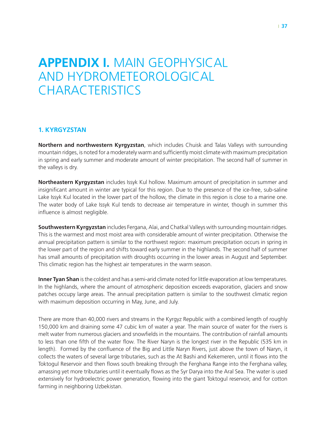## **Appendix I.** Main Geophysical and Hydrometeorological **CHARACTERISTICS**

#### **1. Kyrgyzstan**

**Northern and northwestern Kyrgyzstan**, which includes Chuisk and Talas Valleys with surrounding mountain ridges, is noted for a moderately warm and sufficiently moist climate with maximum precipitation in spring and early summer and moderate amount of winter precipitation. The second half of summer in the valleys is dry.

**Northeastern Kyrgyzstan** includes Issyk Kul hollow. Maximum amount of precipitation in summer and insignificant amount in winter are typical for this region. Due to the presence of the ice-free, sub-saline Lake Issyk Kul located in the lower part of the hollow, the climate in this region is close to a marine one. The water body of Lake Issyk Kul tends to decrease air temperature in winter, though in summer this influence is almost negligible.

**Southwestern Kyrgyzstan** includes Fergana, Alai, and Chatkal Valleys with surrounding mountain ridges. This is the warmest and most moist area with considerable amount of winter precipitation. Otherwise the annual precipitation pattern is similar to the northwest region: maximum precipitation occurs in spring in the lower part of the region and shifts toward early summer in the highlands. The second half of summer has small amounts of precipitation with droughts occurring in the lower areas in August and September. This climatic region has the highest air temperatures in the warm season.

**Inner Tyan Shan** is the coldest and has a semi-arid climate noted for little evaporation at low temperatures. In the highlands, where the amount of atmospheric deposition exceeds evaporation, glaciers and snow patches occupy large areas. The annual precipitation pattern is similar to the southwest climatic region with maximum deposition occurring in May, June, and July.

There are more than 40,000 rivers and streams in the Kyrgyz Republic with a combined length of roughly 150,000 km and draining some 47 cubic km of water a year. The main source of water for the rivers is melt water from numerous glaciers and snowfields in the mountains. The contribution of rainfall amounts to less than one fifth of the water flow. The River Naryn is the longest river in the Republic (535 km in length). Formed by the confluence of the Big and Little Naryn Rivers, just above the town of Naryn, it collects the waters of several large tributaries, such as the At Bashi and Kekemeren, until it flows into the Toktogul Reservoir and then flows south breaking through the Ferghana Range into the Ferghana valley, amassing yet more tributaries until it eventually flows as the Syr Darya into the Aral Sea. The water is used extensively for hydroelectric power generation, flowing into the giant Toktogul reservoir, and for cotton farming in neighboring Uzbekistan.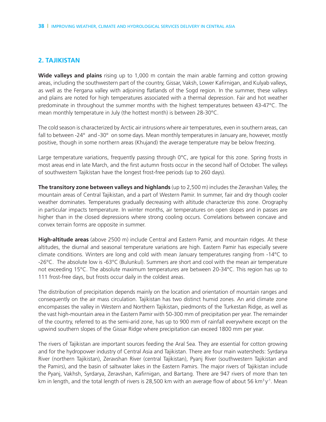### **2. Tajikistan**

**Wide valleys and plains** rising up to 1,000 m contain the main arable farming and cotton growing areas, including the southwestern part of the country, Gissar, Vaksh, Lower Kafirnigan, and Kulyab valleys, as well as the Fergana valley with adjoining flatlands of the Sogd region. In the summer, these valleys and plains are noted for high temperatures associated with a thermal depression. Fair and hot weather predominate in throughout the summer months with the highest temperatures between 43-47°C. The mean monthly temperature in July (the hottest month) is between 28-30°C.

The cold season is characterized by Arctic air intrusions where air temperatures, even in southern areas, can fall to between -24° and -30° on some days. Mean monthly temperatures in January are, however, mostly positive, though in some northern areas (Khujand) the average temperature may be below freezing.

Large temperature variations, frequently passing through 0°C, are typical for this zone. Spring frosts in most areas end in late March, and the first autumn frosts occur in the second half of October. The valleys of southwestern Tajikistan have the longest frost-free periods (up to 260 days).

**The transitory zone between valleys and highlands** (up to 2,500 m) includes the Zeravshan Valley, the mountain areas of Central Tajikistan, and a part of Western Pamir. In summer, fair and dry though cooler weather dominates. Temperatures gradually decreasing with altitude characterize this zone. Orography in particular impacts temperature. In winter months, air temperatures on open slopes and in passes are higher than in the closed depressions where strong cooling occurs. Correlations between concave and convex terrain forms are opposite in summer.

**High-altitude areas** (above 2500 m) include Central and Eastern Pamir, and mountain ridges. At these altitudes, the diurnal and seasonal temperature variations are high. Eastern Pamir has especially severe climate conditions. Winters are long and cold with mean January temperatures ranging from -14°C to -26°C. The absolute low is -63°C (Bulunkul). Summers are short and cool with the mean air temperature not exceeding 15°C. The absolute maximum temperatures are between 20-34°C. This region has up to 111 frost-free days, but frosts occur daily in the coldest areas.

The distribution of precipitation depends mainly on the location and orientation of mountain ranges and consequently on the air mass circulation. Tajikistan has two distinct humid zones. An arid climate zone encompasses the valley in Western and Northern Tajikistan, piedmonts of the Turkestan Ridge, as well as the vast high-mountain area in the Eastern Pamir with 50-300 mm of precipitation per year. The remainder of the country, referred to as the semi-arid zone, has up to 900 mm of rainfall everywhere except on the upwind southern slopes of the Gissar Ridge where precipitation can exceed 1800 mm per year.

The rivers of Tajikistan are important sources feeding the Aral Sea. They are essential for cotton growing and for the hydropower industry of Central Asia and Tajikistan. There are four main watersheds: Syrdarya River (northern Tajikistan), Zeravshan River (central Tajikistan), Pyanj River (southwestern Tajikistan and the Pamirs), and the basin of saltwater lakes in the Eastern Pamirs. The major rivers of Tajikistan include the Pyanj, Vakhsh, Syrdarya, Zeravshan, Kafirnigan, and Bartang. There are 947 rivers of more than ten km in length, and the total length of rivers is 28,500 km with an average flow of about 56 km<sup>3</sup> y<sup>-1</sup>. Mean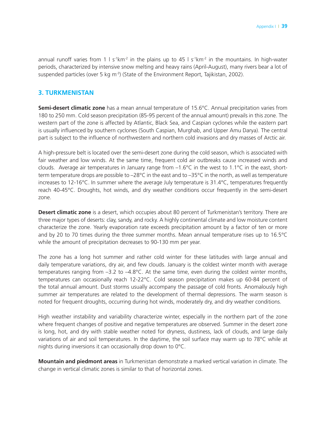annual runoff varies from 1 l  $s^{-1}km^{-2}$  in the plains up to 45 l  $s^{-1}km^{-2}$  in the mountains. In high-water periods, characterized by intensive snow melting and heavy rains (April-August), many rivers bear a lot of suspended particles (over 5 kg m<sup>-3</sup>) (State of the Environment Report, Tajikistan, 2002).

#### **3. Turkmenistan**

**Semi-desert climatic zone** has a mean annual temperature of 15.6°C. Annual precipitation varies from 180 to 250 mm. Cold season precipitation (85-95 percent of the annual amount) prevails in this zone. The western part of the zone is affected by Atlantic, Black Sea, and Caspian cyclones while the eastern part is usually influenced by southern cyclones (South Caspian, Murghab, and Upper Amu Darya). The central part is subject to the influence of northwestern and northern cold invasions and dry masses of Arctic air.

A high-pressure belt is located over the semi-desert zone during the cold season, which is associated with fair weather and low winds. At the same time, frequent cold air outbreaks cause increased winds and clouds. Average air temperatures in January range from –1.6°C in the west to 1.1°C in the east, shortterm temperature drops are possible to  $-28^{\circ}$ C in the east and to  $-35^{\circ}$ C in the north, as well as temperature increases to 12-16°C. In summer where the average July temperature is 31.4°C, temperatures frequently reach 40-45°C. Droughts, hot winds, and dry weather conditions occur frequently in the semi-desert zone.

**Desert climatic zone** is a desert, which occupies about 80 percent of Turkmenistan's territory. There are three major types of deserts: clay, sandy, and rocky. A highly continental climate and low moisture content characterize the zone. Yearly evaporation rate exceeds precipitation amount by a factor of ten or more and by 20 to 70 times during the three summer months. Mean annual temperature rises up to 16.5°C while the amount of precipitation decreases to 90-130 mm per year.

The zone has a long hot summer and rather cold winter for these latitudes with large annual and daily temperature variations, dry air, and few clouds. January is the coldest winter month with average temperatures ranging from –3.2 to –4.8°C. At the same time, even during the coldest winter months, temperatures can occasionally reach 12-22°C. Cold season precipitation makes up 60-84 percent of the total annual amount. Dust storms usually accompany the passage of cold fronts. Anomalously high summer air temperatures are related to the development of thermal depressions. The warm season is noted for frequent droughts, occurring during hot winds, moderately dry, and dry weather conditions.

High weather instability and variability characterize winter, especially in the northern part of the zone where frequent changes of positive and negative temperatures are observed. Summer in the desert zone is long, hot, and dry with stable weather noted for dryness, dustiness, lack of clouds, and large daily variations of air and soil temperatures. In the daytime, the soil surface may warm up to 78°C while at nights during inversions it can occasionally drop down to 0°C.

**Mountain and piedmont areas** in Turkmenistan demonstrate a marked vertical variation in climate. The change in vertical climatic zones is similar to that of horizontal zones.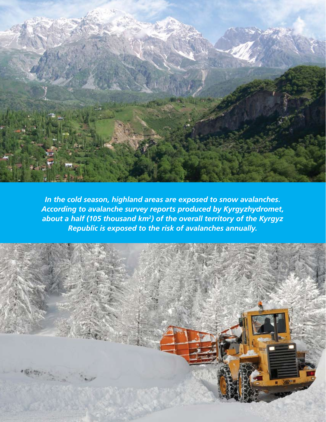

*In the cold season, highland areas are exposed to snow avalanches. According to avalanche survey reports produced by Kyrgyzhydromet, about a half (105 thousand km2) of the overall territory of the Kyrgyz Republic is exposed to the risk of avalanches annually.* 

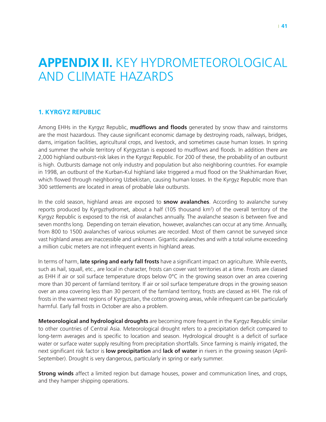## **Appendix II.** Key Hydrometeorological and Climate Hazards

#### **1. Kyrgyz Republic**

Among EHHs in the Kyrgyz Republic, **mudflows and floods** generated by snow thaw and rainstorms are the most hazardous. They cause significant economic damage by destroying roads, railways, bridges, dams, irrigation facilities, agricultural crops, and livestock, and sometimes cause human losses. In spring and summer the whole territory of Kyrgyzstan is exposed to mudflows and floods. In addition there are 2,000 highland outburst-risk lakes in the Kyrgyz Republic. For 200 of these, the probability of an outburst is high. Outbursts damage not only industry and population but also neighboring countries. For example in 1998, an outburst of the Kurban-Kul highland lake triggered a mud flood on the Shakhimardan River, which flowed through neighboring Uzbekistan, causing human losses. In the Kyrgyz Republic more than 300 settlements are located in areas of probable lake outbursts.

In the cold season, highland areas are exposed to **snow avalanches**. According to avalanche survey reports produced by Kyrgyzhydromet, about a half (105 thousand km<sup>2</sup>) of the overall territory of the Kyrgyz Republic is exposed to the risk of avalanches annually. The avalanche season is between five and seven months long. Depending on terrain elevation, however, avalanches can occur at any time. Annually, from 800 to 1500 avalanches of various volumes are recorded. Most of them cannot be surveyed since vast highland areas are inaccessible and unknown. Gigantic avalanches and with a total volume exceeding a million cubic meters are not infrequent events in highland areas.

In terms of harm, **late spring and early fall frosts** have a significant impact on agriculture. While events, such as hail, squall, etc., are local in character, frosts can cover vast territories at a time. Frosts are classed as EHH if air or soil surface temperature drops below 0°C in the growing season over an area covering more than 30 percent of farmland territory. If air or soil surface temperature drops in the growing season over an area covering less than 30 percent of the farmland territory, frosts are classed as HH. The risk of frosts in the warmest regions of Kyrgyzstan, the cotton growing areas, while infrequent can be particularly harmful. Early fall frosts in October are also a problem.

**Meteorological and hydrological droughts** are becoming more frequent in the Kyrgyz Republic similar to other countries of Central Asia. Meteorological drought refers to a precipitation deficit compared to long-term averages and is specific to location and season. Hydrological drought is a deficit of surface water or surface water supply resulting from precipitation shortfalls. Since farming is mainly irrigated, the next significant risk factor is **low precipitation** and **lack of water** in rivers in the growing season (April-September). Drought is very dangerous, particularly in spring or early summer.

**Strong winds** affect a limited region but damage houses, power and communication lines, and crops, and they hamper shipping operations.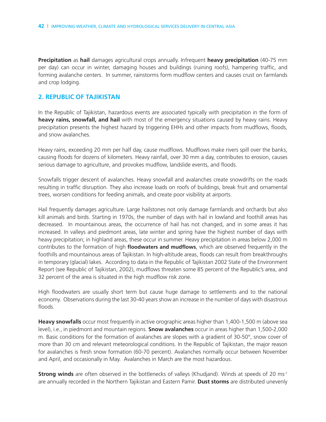**Precipitation** as **hail** damages agricultural crops annually. Infrequent **heavy precipitation** (40-75 mm per day) can occur in winter, damaging houses and buildings (ruining roofs), hampering traffic, and forming avalanche centers. In summer, rainstorms form mudflow centers and causes crust on farmlands and crop lodging.

#### **2. Republic of Tajikistan**

In the Republic of Tajikistan, hazardous events are associated typically with precipitation in the form of **heavy rains, snowfall, and hail** with most of the emergency situations caused by heavy rains. Heavy precipitation presents the highest hazard by triggering EHHs and other impacts from mudflows, floods, and snow avalanches.

Heavy rains, exceeding 20 mm per half day, cause mudflows. Mudflows make rivers spill over the banks, causing floods for dozens of kilometers. Heavy rainfall, over 30 mm a day, contributes to erosion, causes serious damage to agriculture, and provokes mudflow, landslide events, and floods.

Snowfalls trigger descent of avalanches. Heavy snowfall and avalanches create snowdrifts on the roads resulting in traffic disruption. They also increase loads on roofs of buildings, break fruit and ornamental trees, worsen conditions for feeding animals, and create poor visibility at airports.

Hail frequently damages agriculture. Large hailstones not only damage farmlands and orchards but also kill animals and birds. Starting in 1970s, the number of days with hail in lowland and foothill areas has decreased. In mountainous areas, the occurrence of hail has not changed, and in some areas it has increased. In valleys and piedmont areas, late winter and spring have the highest number of days with heavy precipitation; in highland areas, these occur in summer. Heavy precipitation in areas below 2,000 m contributes to the formation of high **floodwaters and mudflows**, which are observed frequently in the foothills and mountainous areas of Tajikistan. In high-altitude areas, floods can result from breakthroughs in temporary (glacial) lakes. According to data in the Republic of Tajikistan 2002 State of the Environment Report (see Republic of Tajikistan, 2002), mudflows threaten some 85 percent of the Republic's area, and 32 percent of the area is situated in the high mudflow risk zone.

High floodwaters are usually short term but cause huge damage to settlements and to the national economy. Observations during the last 30-40 years show an increase in the number of days with disastrous floods.

**Heavy snowfalls** occur most frequently in active orographic areas higher than 1,400-1,500 m (above sea level), i.e., in piedmont and mountain regions. **Snow avalanches** occur in areas higher than 1,500-2,000 m. Basic conditions for the formation of avalanches are slopes with a gradient of 30-50°, snow cover of more than 30 cm and relevant meteorological conditions. In the Republic of Tajikistan, the major reason for avalanches is fresh snow formation (60-70 percent). Avalanches normally occur between November and April, and occasionally in May. Avalanches in March are the most hazardous.

**Strong winds** are often observed in the bottlenecks of valleys (Khudjand). Winds at speeds of 20 ms<sup>-1</sup> are annually recorded in the Northern Tajikistan and Eastern Pamir. **Dust storms** are distributed unevenly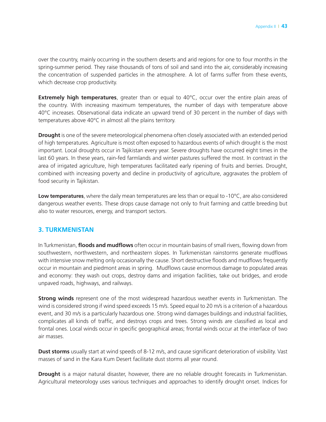over the country, mainly occurring in the southern deserts and arid regions for one to four months in the spring-summer period. They raise thousands of tons of soil and sand into the air, considerably increasing the concentration of suspended particles in the atmosphere. A lot of farms suffer from these events, which decrease crop productivity.

**Extremely high temperatures**, greater than or equal to 40°C, occur over the entire plain areas of the country. With increasing maximum temperatures, the number of days with temperature above 40°C increases. Observational data indicate an upward trend of 30 percent in the number of days with temperatures above 40°C in almost all the plains territory.

**Drought** is one of the severe meteorological phenomena often closely associated with an extended period of high temperatures. Agriculture is most often exposed to hazardous events of which drought is the most important. Local droughts occur in Tajikistan every year. Severe droughts have occurred eight times in the last 60 years. In these years, rain-fed farmlands and winter pastures suffered the most. In contrast in the area of irrigated agriculture, high temperatures facilitated early ripening of fruits and berries. Drought, combined with increasing poverty and decline in productivity of agriculture, aggravates the problem of food security in Tajikistan.

**Low temperatures**, where the daily mean temperatures are less than or equal to -10°C, are also considered dangerous weather events. These drops cause damage not only to fruit farming and cattle breeding but also to water resources, energy, and transport sectors.

#### **3. Turkmenistan**

In Turkmenistan, **floods and mudflows** often occur in mountain basins of small rivers, flowing down from southwestern, northwestern, and northeastern slopes. In Turkmenistan rainstorms generate mudflows with intensive snow melting only occasionally the cause. Short destructive floods and mudflows frequently occur in mountain and piedmont areas in spring. Mudflows cause enormous damage to populated areas and economy: they wash out crops, destroy dams and irrigation facilities, take out bridges, and erode unpaved roads, highways, and railways.

**Strong winds** represent one of the most widespread hazardous weather events in Turkmenistan. The wind is considered strong if wind speed exceeds 15 m/s. Speed equal to 20 m/s is a criterion of a hazardous event, and 30 m/s is a particularly hazardous one. Strong wind damages buildings and industrial facilities, complicates all kinds of traffic, and destroys crops and trees. Strong winds are classified as local and frontal ones. Local winds occur in specific geographical areas; frontal winds occur at the interface of two air masses.

**Dust storms** usually start at wind speeds of 8-12 m/s, and cause significant deterioration of visibility. Vast masses of sand in the Kara Kum Desert facilitate dust storms all year round.

**Drought** is a major natural disaster, however, there are no reliable drought forecasts in Turkmenistan. Agricultural meteorology uses various techniques and approaches to identify drought onset. Indices for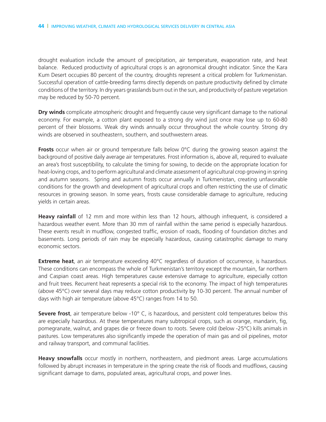drought evaluation include the amount of precipitation, air temperature, evaporation rate, and heat balance. Reduced productivity of agricultural crops is an agronomical drought indicator. Since the Kara Kum Desert occupies 80 percent of the country, droughts represent a critical problem for Turkmenistan. Successful operation of cattle-breeding farms directly depends on pasture productivity defined by climate conditions of the territory. In dry years grasslands burn out in the sun, and productivity of pasture vegetation may be reduced by 50-70 percent.

**Dry winds** complicate atmospheric drought and frequently cause very significant damage to the national economy. For example, a cotton plant exposed to a strong dry wind just once may lose up to 60-80 percent of their blossoms. Weak dry winds annually occur throughout the whole country. Strong dry winds are observed in southeastern, southern, and southwestern areas.

**Frosts** occur when air or ground temperature falls below 0°C during the growing season against the background of positive daily average air temperatures. Frost information is, above all, required to evaluate an area's frost susceptibility, to calculate the timing for sowing, to decide on the appropriate location for heat-loving crops, and to perform agricultural and climate assessment of agricultural crop growing in spring and autumn seasons. Spring and autumn frosts occur annually in Turkmenistan, creating unfavorable conditions for the growth and development of agricultural crops and often restricting the use of climatic resources in growing season. In some years, frosts cause considerable damage to agriculture, reducing yields in certain areas.

**Heavy rainfall** of 12 mm and more within less than 12 hours, although infrequent, is considered a hazardous weather event. More than 30 mm of rainfall within the same period is especially hazardous. These events result in mudflow, congested traffic, erosion of roads, flooding of foundation ditches and basements. Long periods of rain may be especially hazardous, causing catastrophic damage to many economic sectors.

**Extreme heat**, an air temperature exceeding 40°C regardless of duration of occurrence, is hazardous. These conditions can encompass the whole of Turkmenistan's territory except the mountain, far northern and Caspian coast areas. High temperatures cause extensive damage to agriculture, especially cotton and fruit trees. Recurrent heat represents a special risk to the economy. The impact of high temperatures (above 45°C) over several days may reduce cotton productivity by 10-30 percent. The annual number of days with high air temperature (above 45°C) ranges from 14 to 50.

**Severe frost**, air temperature below -10° C, is hazardous, and persistent cold temperatures below this are especially hazardous. At these temperatures many subtropical crops, such as orange, mandarin, fig, pomegranate, walnut, and grapes die or freeze down to roots. Severe cold (below -25°C) kills animals in pastures. Low temperatures also significantly impede the operation of main gas and oil pipelines, motor and railway transport, and communal facilities.

**Heavy snowfalls** occur mostly in northern, northeastern, and piedmont areas. Large accumulations followed by abrupt increases in temperature in the spring create the risk of floods and mudflows, causing significant damage to dams, populated areas, agricultural crops, and power lines.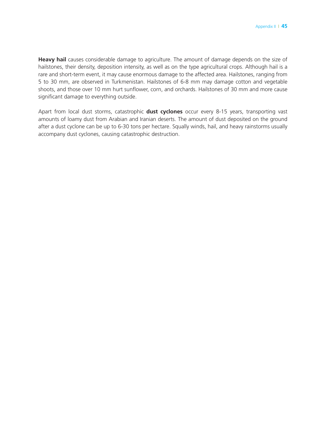**Heavy hail** causes considerable damage to agriculture. The amount of damage depends on the size of hailstones, their density, deposition intensity, as well as on the type agricultural crops. Although hail is a rare and short-term event, it may cause enormous damage to the affected area. Hailstones, ranging from 5 to 30 mm, are observed in Turkmenistan. Hailstones of 6-8 mm may damage cotton and vegetable shoots, and those over 10 mm hurt sunflower, corn, and orchards. Hailstones of 30 mm and more cause significant damage to everything outside.

Apart from local dust storms, catastrophic **dust cyclones** occur every 8-15 years, transporting vast amounts of loamy dust from Arabian and Iranian deserts. The amount of dust deposited on the ground after a dust cyclone can be up to 6-30 tons per hectare. Squally winds, hail, and heavy rainstorms usually accompany dust cyclones, causing catastrophic destruction.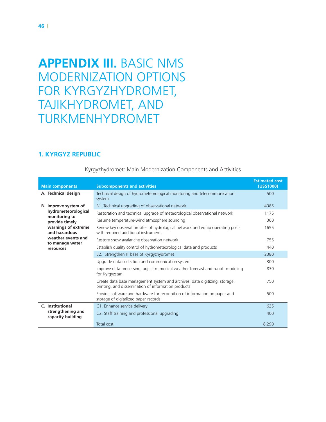# **Appendix III.** Basic NMS Modernization Options for Kyrgyzhydromet, Tajikhydromet, and Turkmenhydromet

### **1. Kyrgyz Republic**

| <b>Main components</b>                 | <b>Subcomponents and activities</b>                                                                                               | <b>Estimated cost</b><br>(US\$1000) |
|----------------------------------------|-----------------------------------------------------------------------------------------------------------------------------------|-------------------------------------|
| A. Technical design                    | Technical design of hydrometeorological monitoring and telecommunication<br>system                                                | 500                                 |
| B. Improve system of                   | B1. Technical upgrading of observational network                                                                                  | 4385                                |
| hydrometeorological                    | Restoration and technical upgrade of meteorological observational network                                                         | 1175                                |
| monitoring to<br>provide timely        | Resume temperature-wind atmosphere sounding                                                                                       | 360                                 |
| warnings of extreme<br>and hazardous   | Renew key observation sites of hydrological network and equip operating posts<br>with required additional instruments             | 1655                                |
| weather events and                     | Restore snow avalanche observation network                                                                                        | 755                                 |
| to manage water<br>resources           | Establish quality control of hydrometeorological data and products                                                                | 440                                 |
|                                        | B2. Strengthen IT base of Kyrgyzhydromet                                                                                          | 2380                                |
|                                        | Upgrade data collection and communication system                                                                                  | 300                                 |
|                                        | Improve data processing; adjust numerical weather forecast and runoff modeling<br>for Kyrgyzstan                                  | 830                                 |
|                                        | Create data base management system and archives; data digitizing, storage,<br>printing, and dissemination of information products | 750                                 |
|                                        | Provide software and hardware for recognition of information on paper and<br>storage of digitalized paper records                 | 500                                 |
| C. Institutional                       | C1. Enhance service delivery                                                                                                      | 625                                 |
| strengthening and<br>capacity building | C2. Staff training and professional upgrading                                                                                     | 400                                 |
|                                        | Total cost                                                                                                                        | 8,290                               |

#### Kyrgyzhydromet: Main Modernization Components and Activities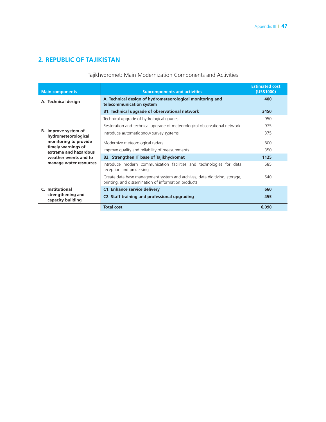### **2. Republic of Tajikistan**

### Tajikhydromet: Main Modernization Components and Activities

| <b>Main components</b>                      | <b>Subcomponents and activities</b>                                                                                               | <b>Estimated cost</b><br>(US\$1000) |
|---------------------------------------------|-----------------------------------------------------------------------------------------------------------------------------------|-------------------------------------|
| A. Technical design                         | A. Technical design of hydrometeorological monitoring and<br>telecommunication system                                             | 400                                 |
|                                             | <b>B1. Technical upgrade of observational network</b>                                                                             | 3450                                |
|                                             | Technical upgrade of hydrological gauges                                                                                          | 950                                 |
|                                             | Restoration and technical upgrade of meteorological observational network                                                         | 975                                 |
| B. Improve system of<br>hydrometeorological | Introduce automatic snow survey systems                                                                                           | 375                                 |
| monitoring to provide                       | Modernize meteorological radars                                                                                                   | 800                                 |
| timely warnings of<br>extreme and hazardous | Improve quality and reliability of measurements                                                                                   | 350                                 |
| weather events and to                       | <b>B2. Strengthen IT base of Tajikhydromet</b>                                                                                    | 1125                                |
| manage water resources                      | Introduce modern communication facilities and technologies for data<br>reception and processing                                   | 585                                 |
|                                             | Create data base management system and archives; data digitizing, storage,<br>printing, and dissemination of information products | 540                                 |
| C. Institutional                            | <b>C1. Enhance service delivery</b>                                                                                               | 660                                 |
| strengthening and<br>capacity building      | C2. Staff training and professional upgrading                                                                                     | 455                                 |
|                                             | <b>Total cost</b>                                                                                                                 | 6,090                               |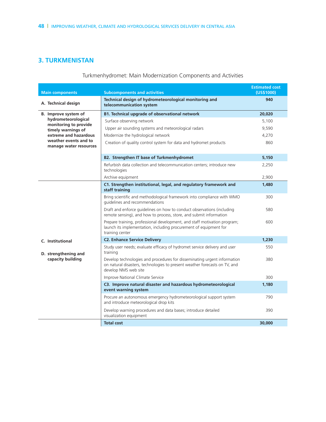### **3. Turkmenistan**

### Turkmenhydromet: Main Modernization Components and Activities

| <b>Main components</b>                          | <b>Subcomponents and activities</b>                                                                                                                                            | <b>Estimated cost</b><br>(US\$1000) |
|-------------------------------------------------|--------------------------------------------------------------------------------------------------------------------------------------------------------------------------------|-------------------------------------|
| A. Technical design                             | Technical design of hydrometeorological monitoring and<br>telecommunication system                                                                                             | 940                                 |
| B. Improve system of                            | <b>B1. Technical upgrade of observational network</b>                                                                                                                          | 20,020                              |
| hydrometeorological<br>monitoring to provide    | Surface observing network                                                                                                                                                      | 5,100                               |
| timely warnings of                              | Upper air sounding systems and meteorological radars                                                                                                                           | 9,590                               |
| extreme and hazardous                           | Modernize the hydrological network                                                                                                                                             | 4,270                               |
| weather events and to<br>manage water resources | Creation of quality control system for data and hydromet products                                                                                                              | 860                                 |
|                                                 | <b>B2. Strengthen IT base of Turkmenhydromet</b>                                                                                                                               | 5,150                               |
|                                                 | Refurbish data collection and telecommunication centers; introduce new<br>technologies                                                                                         | 2,250                               |
|                                                 | Archive equipment                                                                                                                                                              | 2,900                               |
|                                                 | C1. Strengthen institutional, legal, and regulatory framework and<br>staff training                                                                                            | 1,480                               |
|                                                 | Bring scientific and methodological framework into compliance with WMO<br>quidelines and recommendations                                                                       | 300                                 |
|                                                 | Draft and enforce quidelines on how to conduct observations (including<br>remote sensing), and how to process, store, and submit information                                   | 580                                 |
|                                                 | Prepare training, professional development, and staff motivation program;<br>launch its implementation, including procurement of equipment for<br>training center              | 600                                 |
| C. Institutional                                | <b>C2. Enhance Service Delivery</b>                                                                                                                                            | 1.230                               |
| D. strengthening and                            | Study user needs; evaluate efficacy of hydromet service delivery and user<br>training                                                                                          | 550                                 |
| capacity building                               | Develop technologies and procedures for disseminating urgent information<br>on natural disasters, technologies to present weather forecasts on TV, and<br>develop NMS web site | 380                                 |
|                                                 | Improve National Climate Service                                                                                                                                               | 300                                 |
|                                                 | C3. Improve natural disaster and hazardous hydrometeorological<br>event warning system                                                                                         | 1,180                               |
|                                                 | Procure an autonomous emergency hydrometeorological support system<br>and introduce meteorological drop kits                                                                   | 790                                 |
|                                                 | Develop warning procedures and data bases; introduce detailed<br>visualization equipment                                                                                       | 390                                 |
|                                                 | <b>Total cost</b>                                                                                                                                                              | 30,000                              |